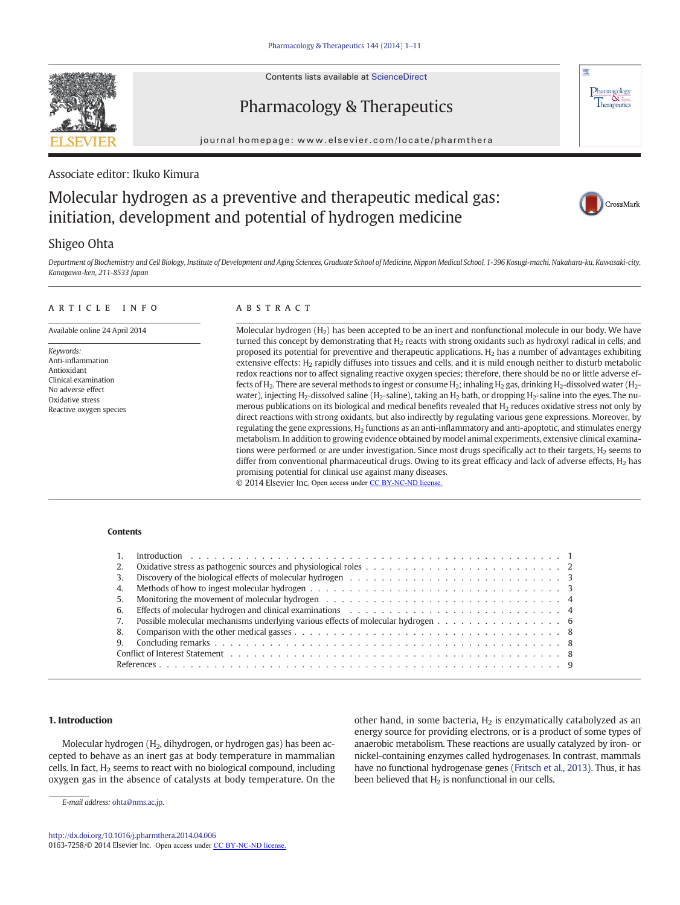Contents lists available at ScienceDirect

# Pharmacology & Therapeutics

journal homepage: www.elsevier.com/locate/pharmthera

## Associate editor: Ikuko Kimura

# Molecular hydrogen as a preventive and therapeutic medical gas: initiation, development and potential of hydrogen medicine



 $\frac{\text{Pharmacology}}{\text{Therapeutics}}$ 

版

## Shigeo Ohta

Department of Biochemistry and Cell Biology, Institute of Development and Aging Sciences, Graduate School of Medicine, Nippon Medical School, 1-396 Kosugi-machi, Nakahara-ku, Kawasaki-city, Kanagawa-ken, 211-8533 Japan

#### article info abstract

Available online 24 April 2014

Keywords: Anti-inflammation Antioxidant Clinical examination No adverse effect Oxidative stress Reactive oxygen species

Molecular hydrogen  $(H<sub>2</sub>)$  has been accepted to be an inert and nonfunctional molecule in our body. We have turned this concept by demonstrating that  $H_2$  reacts with strong oxidants such as hydroxyl radical in cells, and proposed its potential for preventive and therapeutic applications.  $H_2$  has a number of advantages exhibiting extensive effects: H<sub>2</sub> rapidly diffuses into tissues and cells, and it is mild enough neither to disturb metabolic redox reactions nor to affect signaling reactive oxygen species; therefore, there should be no or little adverse effects of H<sub>2</sub>. There are several methods to ingest or consume H<sub>2</sub>; inhaling H<sub>2</sub> gas, drinking H<sub>2</sub>-dissolved water (H<sub>2</sub>water), injecting H<sub>2</sub>-dissolved saline (H<sub>2</sub>-saline), taking an H<sub>2</sub> bath, or dropping H<sub>2</sub>-saline into the eyes. The numerous publications on its biological and medical benefits revealed that H<sub>2</sub> reduces oxidative stress not only by direct reactions with strong oxidants, but also indirectly by regulating various gene expressions. Moreover, by regulating the gene expressions, H2 functions as an anti-inflammatory and anti-apoptotic, and stimulates energy metabolism. In addition to growing evidence obtained by model animal experiments, extensive clinical examinations were performed or are under investigation. Since most drugs specifically act to their targets,  $H_2$  seems to differ from conventional pharmaceutical drugs. Owing to its great efficacy and lack of adverse effects,  $H_2$  has promising potential for clinical use against many diseases. © 2014 Elsevier Inc. Open access under [CC BY-NC-ND license.](http://creativecommons.org/licenses/by-nc-nd/4.0/)

### **Contents**

#### 1. Introduction . . . . . . . 2. Oxidative stress as pathogenic sources and physiological roles . . . . . . . . . . . . . . . . . . . . . . . . . 2 3. Discovery of the biological effects of molecular hydrogen . . . . . . . . . . . . . . . . . . . . . . . . . . . 2 4. Methods of how to ingest molecular hydrogen . . . . . . . . . . . . . . . . . . . . . . . . . . . . . . . . 2 5. Monitoring the movement of molecular hydrogen . . . . . . . . . . . . . . . . . . . . . . . . . . . . . . 2 6. Effects of molecular hydrogen and clinical examinations  $\ldots \ldots \ldots \ldots \ldots \ldots \ldots \ldots \ldots \ldots$ 7. Possible molecular mechanisms underlying various effects of molecular hydrogen . . . . . . . . . . . . . . . . 6 8. Comparison with the other medical gasses . . . . . . . . . . . . . . . . . . . . . . . . . . . . . . . . . . 3 9. Concluding remarks . . . . . . . . . . . . . . . . . . . . . . . . . . . . . . . . . . . . . . . . . . . . 3 Conflict of Interest Statement . . . . . . . . . . . . . . . . . . . . . . . . . . . . . . . . . . . . . . . . . . 3 References . . . . . . . . . . . . . . . . . . . . . . . . . . . . . . . . . . . . . . . . . . . . . . . . . . . 3 33446888

#### 1. Introduction

Molecular hydrogen (H<sub>2</sub>, dihydrogen, or hydrogen gas) has been accepted to behave as an inert gas at body temperature in mammalian cells. In fact,  $H_2$  seems to react with no biological compound, including oxygen gas in the absence of catalysts at body temperature. On the

other hand, in some bacteria,  $H_2$  is enzymatically catabolyzed as an energy source for providing electrons, or is a product of some types of anaerobic metabolism. These reactions are usually catalyzed by iron- or nickel-containing enzymes called hydrogenases. In contrast, mammals have no functional hydrogenase genes ([Fritsch et al., 2013\)](#page-8-0). Thus, it has been believed that  $H_2$  is nonfunctional in our cells. **1. Introduction**<br> **1. Introduction**<br> **1. Introduction**<br> **1. Introduction**<br> **1. Introduction**<br> **1. Introduction**<br> **1. Introduction**<br> **1. Introduction**<br> **1. Introduction**<br> **1. Intervelocentally carries the containing energ** 

0163-7258/© 2014 Elsevier Inc. Open access under [CC BY-NC-ND license.](http://creativecommons.org/licenses/by-nc-nd/4.0/)

E-mail address: ohta@nms.ac.jp.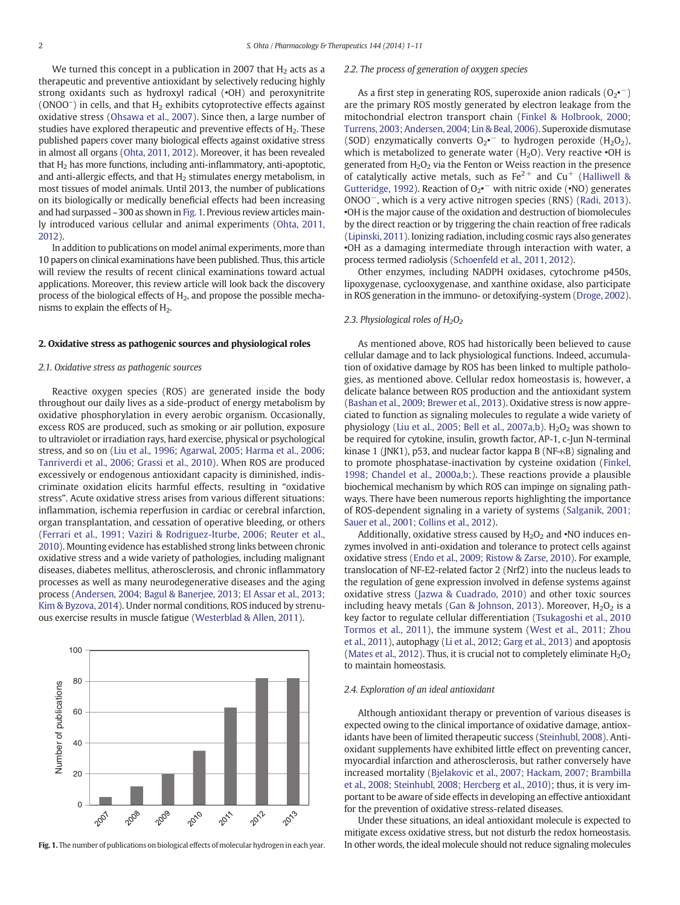We turned this concept in a publication in 2007 that  $H<sub>2</sub>$  acts as a therapeutic and preventive antioxidant by selectively reducing highly strong oxidants such as hydroxyl radical (•OH) and peroxynitrite (ONOO<sup>-</sup>) in cells, and that H<sub>2</sub> exhibits cytoprotective effects against oxidative stress ([Ohsawa et al., 2007\)](#page-9-0). Since then, a large number of studies have explored therapeutic and preventive effects of  $H_2$ . These published papers cover many biological effects against oxidative stress in almost all organs [\(Ohta, 2011, 2012](#page-9-0)). Moreover, it has been revealed that  $H_2$  has more functions, including anti-inflammatory, anti-apoptotic, and anti-allergic effects, and that  $H_2$  stimulates energy metabolism, in most tissues of model animals. Until 2013, the number of publications on its biologically or medically beneficial effects had been increasing and had surpassed ~300 as shown in Fig. 1. Previous review articles mainly introduced various cellular and animal experiments [\(Ohta, 2011,](#page-9-0) [2012](#page-9-0)).

In addition to publications on model animal experiments, more than 10 papers on clinical examinations have been published. Thus, this article will review the results of recent clinical examinations toward actual applications. Moreover, this review article will look back the discovery process of the biological effects of  $H_2$ , and propose the possible mechanisms to explain the effects of  $H<sub>2</sub>$ .

#### 2. Oxidative stress as pathogenic sources and physiological roles

#### 2.1. Oxidative stress as pathogenic sources

Reactive oxygen species (ROS) are generated inside the body throughout our daily lives as a side-product of energy metabolism by oxidative phosphorylation in every aerobic organism. Occasionally, excess ROS are produced, such as smoking or air pollution, exposure to ultraviolet or irradiation rays, hard exercise, physical or psychological stress, and so on ([Liu et al., 1996; Agarwal, 2005; Harma et al., 2006;](#page-9-0) [Tanriverdi et al., 2006; Grassi et al., 2010\)](#page-9-0). When ROS are produced excessively or endogenous antioxidant capacity is diminished, indiscriminate oxidation elicits harmful effects, resulting in "oxidative stress". Acute oxidative stress arises from various different situations: inflammation, ischemia reperfusion in cardiac or cerebral infarction, organ transplantation, and cessation of operative bleeding, or others [\(Ferrari et al., 1991; Vaziri & Rodriguez-Iturbe, 2006; Reuter et al.,](#page-8-0) [2010\)](#page-8-0). Mounting evidence has established strong links between chronic oxidative stress and a wide variety of pathologies, including malignant diseases, diabetes mellitus, atherosclerosis, and chronic inflammatory processes as well as many neurodegenerative diseases and the aging process [\(Andersen, 2004; Bagul & Banerjee, 2013; El Assar et al., 2013;](#page-8-0) [Kim & Byzova, 2014\)](#page-8-0). Under normal conditions, ROS induced by strenuous exercise results in muscle fatigue [\(Westerblad & Allen, 2011\)](#page-10-0).



Fig. 1. The number of publications on biological effects of molecular hydrogen in each year.

#### 2.2. The process of generation of oxygen species

As a first step in generating ROS, superoxide anion radicals  $(O_{2}^{\bullet -})$ are the primary ROS mostly generated by electron leakage from the mitochondrial electron transport chain ([Finkel & Holbrook, 2000;](#page-8-0) [Turrens, 2003; Andersen, 2004; Lin & Beal, 2006](#page-8-0)). Superoxide dismutase (SOD) enzymatically converts  $O_2$ <sup>-</sup> to hydrogen peroxide (H<sub>2</sub>O<sub>2</sub>), which is metabolized to generate water  $(H<sub>2</sub>O)$ . Very reactive  $\cdot$ OH is generated from  $H_2O_2$  via the Fenton or Weiss reaction in the presence of catalytically active metals, such as  $Fe^{2+}$  and  $Cu^{+}$  ([Halliwell &](#page-8-0) [Gutteridge, 1992](#page-8-0)). Reaction of  $O_2$   $\sim$  with nitric oxide ( $\cdot$ NO) generates ONOO−, which is a very active nitrogen species (RNS) [\(Radi, 2013](#page-9-0)). •OH is the major cause of the oxidation and destruction of biomolecules by the direct reaction or by triggering the chain reaction of free radicals [\(Lipinski, 2011\)](#page-9-0). Ionizing radiation, including cosmic rays also generates •OH as a damaging intermediate through interaction with water, a process termed radiolysis ([Schoenfeld et al., 2011, 2012\)](#page-9-0).

Other enzymes, including NADPH oxidases, cytochrome p450s, lipoxygenase, cyclooxygenase, and xanthine oxidase, also participate in ROS generation in the immuno- or detoxifying-system [\(Droge, 2002\)](#page-8-0).

#### 2.3. Physiological roles of  $H_2O_2$

As mentioned above, ROS had historically been believed to cause cellular damage and to lack physiological functions. Indeed, accumulation of oxidative damage by ROS has been linked to multiple pathologies, as mentioned above. Cellular redox homeostasis is, however, a delicate balance between ROS production and the antioxidant system [\(Bashan et al., 2009; Brewer et al., 2013\)](#page-8-0). Oxidative stress is now appreciated to function as signaling molecules to regulate a wide variety of physiology ([Liu et al., 2005; Bell et al., 2007a,b](#page-9-0)).  $H<sub>2</sub>O<sub>2</sub>$  was shown to be required for cytokine, insulin, growth factor, AP-1, c-Jun N-terminal kinase 1 (JNK1), p53, and nuclear factor kappa B (NF-κB) signaling and to promote phosphatase-inactivation by cysteine oxidation ([Finkel,](#page-8-0) [1998; Chandel et al., 2000a,b;](#page-8-0)). These reactions provide a plausible biochemical mechanism by which ROS can impinge on signaling pathways. There have been numerous reports highlighting the importance of ROS-dependent signaling in a variety of systems ([Salganik, 2001;](#page-9-0) [Sauer et al., 2001; Collins et al., 2012\)](#page-9-0).

Additionally, oxidative stress caused by  $H_2O_2$  and  $\cdot$ NO induces enzymes involved in anti-oxidation and tolerance to protect cells against oxidative stress [\(Endo et al., 2009; Ristow & Zarse, 2010\)](#page-8-0). For example, translocation of NF-E2-related factor 2 (Nrf2) into the nucleus leads to the regulation of gene expression involved in defense systems against oxidative stress ([Jazwa & Cuadrado, 2010\)](#page-8-0) and other toxic sources including heavy metals ([Gan & Johnson, 2013](#page-8-0)). Moreover,  $H_2O_2$  is a key factor to regulate cellular differentiation ([Tsukagoshi et al., 2010](#page-10-0) [Tormos et al., 2011](#page-10-0)), the immune system [\(West et al., 2011; Zhou](#page-10-0) [et al., 2011](#page-10-0)), autophagy [\(Li et al., 2012; Garg et al., 2013](#page-9-0)) and apoptosis [\(Mates et al., 2012\)](#page-9-0). Thus, it is crucial not to completely eliminate  $H_2O_2$ to maintain homeostasis.

#### 2.4. Exploration of an ideal antioxidant

Although antioxidant therapy or prevention of various diseases is expected owing to the clinical importance of oxidative damage, antioxidants have been of limited therapeutic success ([Steinhubl, 2008\)](#page-9-0). Antioxidant supplements have exhibited little effect on preventing cancer, myocardial infarction and atherosclerosis, but rather conversely have increased mortality ([Bjelakovic et al., 2007; Hackam, 2007; Brambilla](#page-8-0) [et al., 2008; Steinhubl, 2008; Hercberg et al., 2010\)](#page-8-0); thus, it is very important to be aware of side effects in developing an effective antioxidant for the prevention of oxidative stress-related diseases.

Under these situations, an ideal antioxidant molecule is expected to mitigate excess oxidative stress, but not disturb the redox homeostasis. In other words, the ideal molecule should not reduce signaling molecules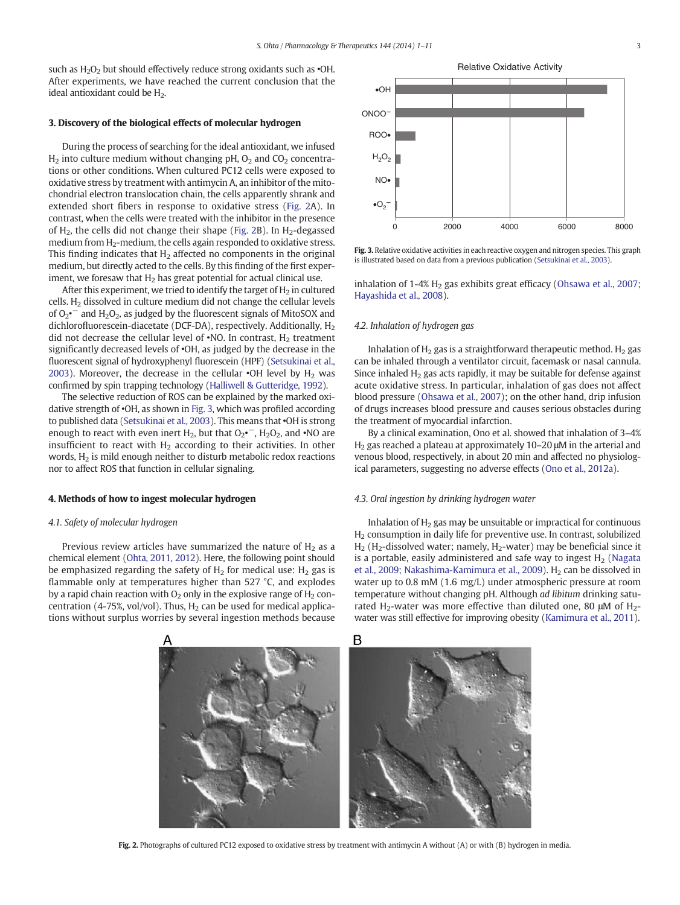such as  $H_2O_2$  but should effectively reduce strong oxidants such as  $\cdot$ OH. After experiments, we have reached the current conclusion that the ideal antioxidant could be  $H<sub>2</sub>$ .

#### 3. Discovery of the biological effects of molecular hydrogen

During the process of searching for the ideal antioxidant, we infused  $H_2$  into culture medium without changing pH,  $O_2$  and  $CO_2$  concentrations or other conditions. When cultured PC12 cells were exposed to oxidative stress by treatment with antimycin A, an inhibitor of the mitochondrial electron translocation chain, the cells apparently shrank and extended short fibers in response to oxidative stress (Fig. 2A). In contrast, when the cells were treated with the inhibitor in the presence of  $H_2$ , the cells did not change their shape (Fig. 2B). In  $H_2$ -degassed medium from H<sub>2</sub>-medium, the cells again responded to oxidative stress. This finding indicates that  $H_2$  affected no components in the original medium, but directly acted to the cells. By this finding of the first experiment, we foresaw that  $H_2$  has great potential for actual clinical use.

After this experiment, we tried to identify the target of  $H_2$  in cultured cells.  $H<sub>2</sub>$  dissolved in culture medium did not change the cellular levels of  $O_2$ <sup>-</sup> and  $H_2O_2$ , as judged by the fluorescent signals of MitoSOX and dichlorofluorescein-diacetate (DCF-DA), respectively. Additionally,  $H_2$ did not decrease the cellular level of  $\cdot$ NO. In contrast, H<sub>2</sub> treatment significantly decreased levels of •OH, as judged by the decrease in the fluorescent signal of hydroxyphenyl fluorescein (HPF) [\(Setsukinai et al.,](#page-9-0) [2003\)](#page-9-0). Moreover, the decrease in the cellular  $\cdot$ OH level by H<sub>2</sub> was confirmed by spin trapping technology ([Halliwell & Gutteridge, 1992](#page-8-0)).

The selective reduction of ROS can be explained by the marked oxidative strength of •OH, as shown in Fig. 3, which was profiled according to published data [\(Setsukinai et al., 2003](#page-9-0)). This means that •OH is strong enough to react with even inert  $H_2$ , but that  $O_2$ <sup>\*</sup>,  $H_2O_2$ , and  $\cdot$ NO are insufficient to react with  $H_2$  according to their activities. In other words,  $H_2$  is mild enough neither to disturb metabolic redox reactions nor to affect ROS that function in cellular signaling.

#### 4. Methods of how to ingest molecular hydrogen

#### 4.1. Safety of molecular hydrogen

Previous review articles have summarized the nature of  $H_2$  as a chemical element ([Ohta, 2011, 2012](#page-9-0)). Here, the following point should be emphasized regarding the safety of  $H_2$  for medical use:  $H_2$  gas is flammable only at temperatures higher than 527 °C, and explodes by a rapid chain reaction with  $O<sub>2</sub>$  only in the explosive range of  $H<sub>2</sub>$  concentration (4-75%, vol/vol). Thus,  $H_2$  can be used for medical applications without surplus worries by several ingestion methods because



Fig. 3. Relative oxidative activities in each reactive oxygen and nitrogen species. This graph is illustrated based on data from a previous publication ([Setsukinai et al., 2003](#page-9-0)).

inhalation of  $1-4\%$  H<sub>2</sub> gas exhibits great efficacy [\(Ohsawa et al., 2007;](#page-9-0) [Hayashida et al., 2008](#page-9-0)).

#### 4.2. Inhalation of hydrogen gas

Inhalation of  $H<sub>2</sub>$  gas is a straightforward therapeutic method.  $H<sub>2</sub>$  gas can be inhaled through a ventilator circuit, facemask or nasal cannula. Since inhaled  $H_2$  gas acts rapidly, it may be suitable for defense against acute oxidative stress. In particular, inhalation of gas does not affect blood pressure [\(Ohsawa et al., 2007\)](#page-9-0); on the other hand, drip infusion of drugs increases blood pressure and causes serious obstacles during the treatment of myocardial infarction.

By a clinical examination, Ono et al. showed that inhalation of 3–4%  $H<sub>2</sub>$  gas reached a plateau at approximately 10–20 μM in the arterial and venous blood, respectively, in about 20 min and affected no physiological parameters, suggesting no adverse effects ([Ono et al., 2012a](#page-9-0)).

#### 4.3. Oral ingestion by drinking hydrogen water

Inhalation of  $H<sub>2</sub>$  gas may be unsuitable or impractical for continuous  $H<sub>2</sub>$  consumption in daily life for preventive use. In contrast, solubilized  $H_2$  (H<sub>2</sub>-dissolved water; namely, H<sub>2</sub>-water) may be beneficial since it is a portable, easily administered and safe way to ingest  $H<sub>2</sub>$  [\(Nagata](#page-9-0) [et al., 2009; Nakashima-Kamimura et al., 2009](#page-9-0)). H<sub>2</sub> can be dissolved in water up to 0.8 mM (1.6 mg/L) under atmospheric pressure at room temperature without changing pH. Although ad libitum drinking saturated H<sub>2</sub>-water was more effective than diluted one, 80  $\mu$ M of H<sub>2</sub>water was still effective for improving obesity ([Kamimura et al., 2011](#page-8-0)).



Fig. 2. Photographs of cultured PC12 exposed to oxidative stress by treatment with antimycin A without (A) or with (B) hydrogen in media.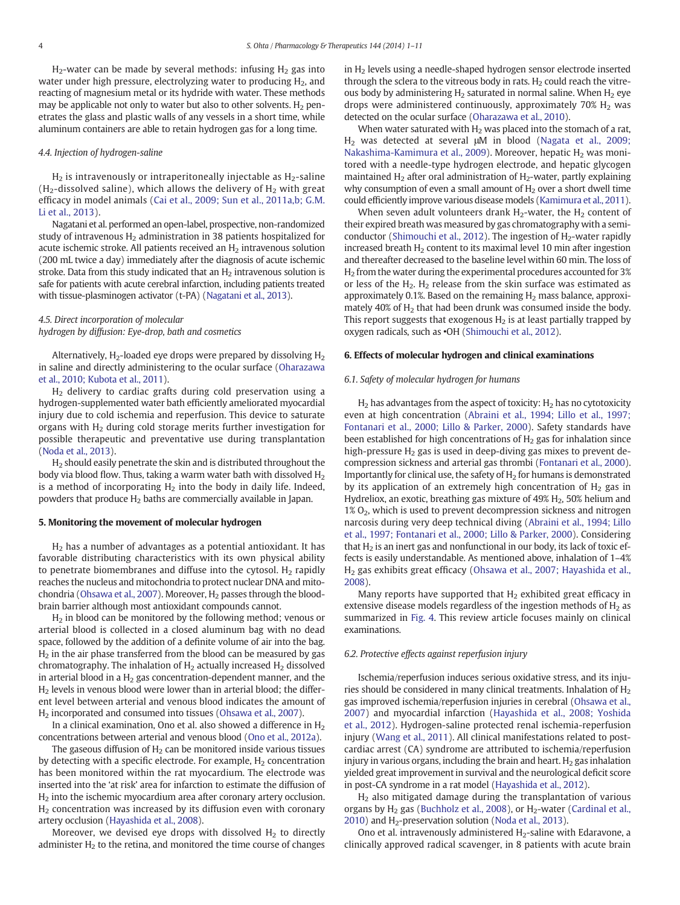$H<sub>2</sub>$ -water can be made by several methods: infusing  $H<sub>2</sub>$  gas into water under high pressure, electrolyzing water to producing  $H<sub>2</sub>$ , and reacting of magnesium metal or its hydride with water. These methods may be applicable not only to water but also to other solvents.  $H_2$  penetrates the glass and plastic walls of any vessels in a short time, while aluminum containers are able to retain hydrogen gas for a long time.

#### 4.4. Injection of hydrogen-saline

 $H<sub>2</sub>$  is intravenously or intraperitoneally injectable as  $H<sub>2</sub>$ -saline  $(H<sub>2</sub>-dissolved saline)$ , which allows the delivery of  $H<sub>2</sub>$  with great efficacy in model animals ([Cai et al., 2009; Sun et al., 2011a,b; G.M.](#page-8-0) [Li et al., 2013\)](#page-8-0).

Nagatani et al. performed an open-label, prospective, non-randomized study of intravenous  $H_2$  administration in 38 patients hospitalized for acute ischemic stroke. All patients received an  $H<sub>2</sub>$  intravenous solution (200 mL twice a day) immediately after the diagnosis of acute ischemic stroke. Data from this study indicated that an  $H_2$  intravenous solution is safe for patients with acute cerebral infarction, including patients treated with tissue-plasminogen activator (t-PA) ([Nagatani et al., 2013](#page-9-0)).

#### 4.5. Direct incorporation of molecular hydrogen by diffusion: Eye-drop, bath and cosmetics

Alternatively,  $H_2$ -loaded eye drops were prepared by dissolving  $H_2$ in saline and directly administering to the ocular surface [\(Oharazawa](#page-9-0) [et al., 2010; Kubota et al., 2011](#page-9-0)).

 $H<sub>2</sub>$  delivery to cardiac grafts during cold preservation using a hydrogen-supplemented water bath efficiently ameliorated myocardial injury due to cold ischemia and reperfusion. This device to saturate organs with H<sub>2</sub> during cold storage merits further investigation for possible therapeutic and preventative use during transplantation [\(Noda et al., 2013\)](#page-9-0).

H2 should easily penetrate the skin and is distributed throughout the body via blood flow. Thus, taking a warm water bath with dissolved  $H_2$ is a method of incorporating  $H_2$  into the body in daily life. Indeed, powders that produce  $H_2$  baths are commercially available in Japan.

#### 5. Monitoring the movement of molecular hydrogen

H2 has a number of advantages as a potential antioxidant. It has favorable distributing characteristics with its own physical ability to penetrate biomembranes and diffuse into the cytosol.  $H_2$  rapidly reaches the nucleus and mitochondria to protect nuclear DNA and mito-chondria [\(Ohsawa et al., 2007\)](#page-9-0). Moreover,  $H_2$  passes through the bloodbrain barrier although most antioxidant compounds cannot.

 $H<sub>2</sub>$  in blood can be monitored by the following method; venous or arterial blood is collected in a closed aluminum bag with no dead space, followed by the addition of a definite volume of air into the bag.  $H<sub>2</sub>$  in the air phase transferred from the blood can be measured by gas chromatography. The inhalation of  $H_2$  actually increased  $H_2$  dissolved in arterial blood in a  $H_2$  gas concentration-dependent manner, and the  $H<sub>2</sub>$  levels in venous blood were lower than in arterial blood; the different level between arterial and venous blood indicates the amount of H2 incorporated and consumed into tissues [\(Ohsawa et al., 2007](#page-9-0)).

In a clinical examination, Ono et al. also showed a difference in  $H_2$ concentrations between arterial and venous blood [\(Ono et al., 2012a\)](#page-9-0).

The gaseous diffusion of  $H_2$  can be monitored inside various tissues by detecting with a specific electrode. For example,  $H_2$  concentration has been monitored within the rat myocardium. The electrode was inserted into the 'at risk' area for infarction to estimate the diffusion of H2 into the ischemic myocardium area after coronary artery occlusion. H2 concentration was increased by its diffusion even with coronary artery occlusion ([Hayashida et al., 2008](#page-8-0)).

Moreover, we devised eye drops with dissolved  $H_2$  to directly administer  $H<sub>2</sub>$  to the retina, and monitored the time course of changes in H<sub>2</sub> levels using a needle-shaped hydrogen sensor electrode inserted through the sclera to the vitreous body in rats.  $H<sub>2</sub>$  could reach the vitreous body by administering  $H<sub>2</sub>$  saturated in normal saline. When  $H<sub>2</sub>$  eye drops were administered continuously, approximately  $70\%$  H<sub>2</sub> was detected on the ocular surface [\(Oharazawa et al., 2010\)](#page-9-0).

When water saturated with  $H_2$  was placed into the stomach of a rat, H2 was detected at several μM in blood ([Nagata et al., 2009;](#page-9-0) [Nakashima-Kamimura et al., 2009\)](#page-9-0). Moreover, hepatic  $H_2$  was monitored with a needle-type hydrogen electrode, and hepatic glycogen maintained  $H_2$  after oral administration of  $H_2$ -water, partly explaining why consumption of even a small amount of  $H_2$  over a short dwell time could efficiently improve various disease models ([Kamimura et al., 2011\)](#page-8-0).

When seven adult volunteers drank  $H_2$ -water, the  $H_2$  content of their expired breath was measured by gas chromatography with a semi-conductor [\(Shimouchi et al., 2012\)](#page-9-0). The ingestion of  $H_2$ -water rapidly increased breath  $H<sub>2</sub>$  content to its maximal level 10 min after ingestion and thereafter decreased to the baseline level within 60 min. The loss of  $H<sub>2</sub>$  from the water during the experimental procedures accounted for 3% or less of the  $H_2$ .  $H_2$  release from the skin surface was estimated as approximately 0.1%. Based on the remaining  $H_2$  mass balance, approximately 40% of  $H<sub>2</sub>$  that had been drunk was consumed inside the body. This report suggests that exogenous  $H_2$  is at least partially trapped by oxygen radicals, such as •OH [\(Shimouchi et al., 2012\)](#page-9-0).

#### 6. Effects of molecular hydrogen and clinical examinations

#### 6.1. Safety of molecular hydrogen for humans

 $H_2$  has advantages from the aspect of toxicity:  $H_2$  has no cytotoxicity even at high concentration [\(Abraini et al., 1994; Lillo et al., 1997;](#page-8-0) [Fontanari et al., 2000; Lillo & Parker, 2000](#page-8-0)). Safety standards have been established for high concentrations of  $H_2$  gas for inhalation since high-pressure  $H_2$  gas is used in deep-diving gas mixes to prevent decompression sickness and arterial gas thrombi [\(Fontanari et al., 2000\)](#page-8-0). Importantly for clinical use, the safety of  $H_2$  for humans is demonstrated by its application of an extremely high concentration of  $H_2$  gas in Hydreliox, an exotic, breathing gas mixture of  $49\%$  H<sub>2</sub>, 50% helium and  $1\%$  O<sub>2</sub>, which is used to prevent decompression sickness and nitrogen narcosis during very deep technical diving [\(Abraini et al., 1994; Lillo](#page-8-0) [et al., 1997; Fontanari et al., 2000; Lillo & Parker, 2000](#page-8-0)). Considering that  $H<sub>2</sub>$  is an inert gas and nonfunctional in our body, its lack of toxic effects is easily understandable. As mentioned above, inhalation of 1–4% H2 gas exhibits great efficacy ([Ohsawa et al., 2007; Hayashida et al.,](#page-9-0) [2008\)](#page-9-0).

Many reports have supported that  $H<sub>2</sub>$  exhibited great efficacy in extensive disease models regardless of the ingestion methods of  $H<sub>2</sub>$  as summarized in [Fig. 4](#page-4-0). This review article focuses mainly on clinical examinations.

#### 6.2. Protective effects against reperfusion injury

Ischemia/reperfusion induces serious oxidative stress, and its injuries should be considered in many clinical treatments. Inhalation of  $H_2$ gas improved ischemia/reperfusion injuries in cerebral [\(Ohsawa et al.,](#page-9-0) [2007](#page-9-0)) and myocardial infarction [\(Hayashida et al., 2008; Yoshida](#page-8-0) [et al., 2012\)](#page-8-0). Hydrogen-saline protected renal ischemia-reperfusion injury [\(Wang et al., 2011\)](#page-10-0). All clinical manifestations related to postcardiac arrest (CA) syndrome are attributed to ischemia/reperfusion injury in various organs, including the brain and heart.  $H_2$  gas inhalation yielded great improvement in survival and the neurological deficit score in post-CA syndrome in a rat model [\(Hayashida et al., 2012](#page-8-0)).

H2 also mitigated damage during the transplantation of various organs by  $H_2$  gas ([Buchholz et al., 2008](#page-8-0)), or  $H_2$ -water ([Cardinal et al.,](#page-8-0)  $2010$ ) and H<sub>2</sub>-preservation solution ([Noda et al., 2013](#page-9-0)).

Ono et al. intravenously administered  $H_2$ -saline with Edaravone, a clinically approved radical scavenger, in 8 patients with acute brain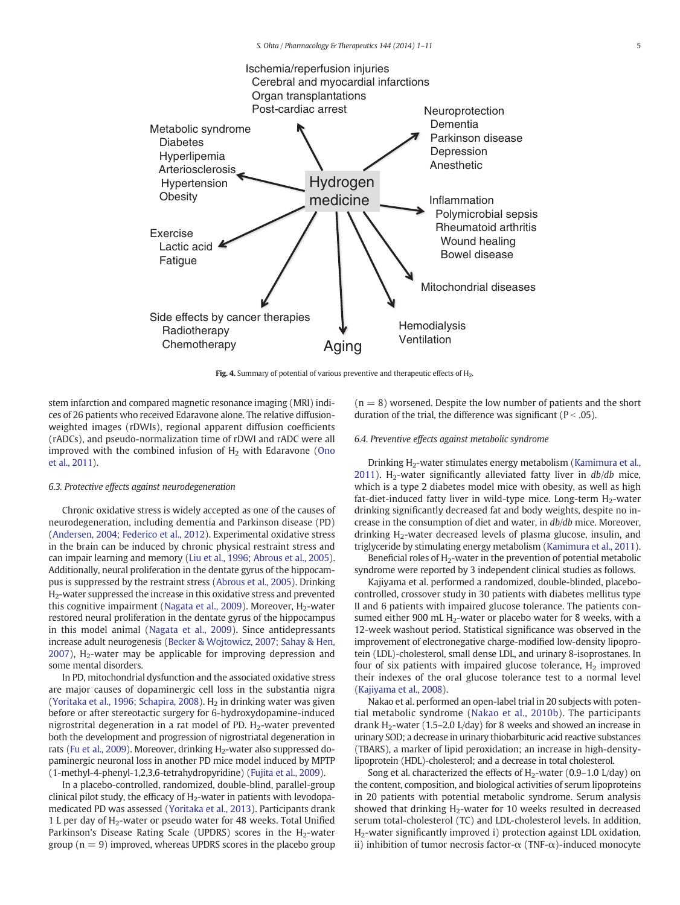<span id="page-4-0"></span>

Fig. 4. Summary of potential of various preventive and therapeutic effects of H<sub>2</sub>.

stem infarction and compared magnetic resonance imaging (MRI) indices of 26 patients who received Edaravone alone. The relative diffusionweighted images (rDWIs), regional apparent diffusion coefficients (rADCs), and pseudo-normalization time of rDWI and rADC were all improved with the combined infusion of  $H<sub>2</sub>$  with Edaravone ([Ono](#page-9-0) [et al., 2011](#page-9-0)).

#### 6.3. Protective effects against neurodegeneration

Chronic oxidative stress is widely accepted as one of the causes of neurodegeneration, including dementia and Parkinson disease (PD) [\(Andersen, 2004; Federico et al., 2012](#page-8-0)). Experimental oxidative stress in the brain can be induced by chronic physical restraint stress and can impair learning and memory ([Liu et al., 1996; Abrous et al., 2005](#page-9-0)). Additionally, neural proliferation in the dentate gyrus of the hippocampus is suppressed by the restraint stress [\(Abrous et al., 2005](#page-8-0)). Drinking H2-water suppressed the increase in this oxidative stress and prevented this cognitive impairment ([Nagata et al., 2009\)](#page-9-0). Moreover,  $H_2$ -water restored neural proliferation in the dentate gyrus of the hippocampus in this model animal ([Nagata et al., 2009](#page-9-0)). Since antidepressants increase adult neurogenesis [\(Becker & Wojtowicz, 2007; Sahay & Hen,](#page-8-0)  $2007$ ),  $H<sub>2</sub>$ -water may be applicable for improving depression and some mental disorders.

In PD, mitochondrial dysfunction and the associated oxidative stress are major causes of dopaminergic cell loss in the substantia nigra [\(Yoritaka et al., 1996; Schapira, 2008](#page-10-0)).  $H_2$  in drinking water was given before or after stereotactic surgery for 6-hydroxydopamine-induced nigrostrital degeneration in a rat model of PD.  $H_2$ -water prevented both the development and progression of nigrostriatal degeneration in rats [\(Fu et al., 2009\)](#page-8-0). Moreover, drinking H<sub>2</sub>-water also suppressed dopaminergic neuronal loss in another PD mice model induced by MPTP (1-methyl-4-phenyl-1,2,3,6-tetrahydropyridine) ([Fujita et al., 2009](#page-8-0)).

In a placebo-controlled, randomized, double-blind, parallel-group clinical pilot study, the efficacy of H<sub>2</sub>-water in patients with levodopamedicated PD was assessed [\(Yoritaka et al., 2013\)](#page-10-0). Participants drank 1 L per day of  $H_2$ -water or pseudo water for 48 weeks. Total Unified Parkinson's Disease Rating Scale (UPDRS) scores in the H<sub>2</sub>-water group ( $n = 9$ ) improved, whereas UPDRS scores in the placebo group

 $(n = 8)$  worsened. Despite the low number of patients and the short duration of the trial, the difference was significant ( $P < .05$ ).

#### 6.4. Preventive effects against metabolic syndrome

Drinking H<sub>2</sub>-water stimulates energy metabolism [\(Kamimura et al.,](#page-8-0) [2011\)](#page-8-0). H<sub>2</sub>-water significantly alleviated fatty liver in  $db/db$  mice, which is a type 2 diabetes model mice with obesity, as well as high fat-diet-induced fatty liver in wild-type mice. Long-term  $H_2$ -water drinking significantly decreased fat and body weights, despite no increase in the consumption of diet and water, in db/db mice. Moreover, drinking  $H_2$ -water decreased levels of plasma glucose, insulin, and triglyceride by stimulating energy metabolism [\(Kamimura et al., 2011](#page-8-0)).

Beneficial roles of  $H_2$ -water in the prevention of potential metabolic syndrome were reported by 3 independent clinical studies as follows.

Kajiyama et al. performed a randomized, double-blinded, placebocontrolled, crossover study in 30 patients with diabetes mellitus type II and 6 patients with impaired glucose tolerance. The patients consumed either 900 mL  $H_2$ -water or placebo water for 8 weeks, with a 12-week washout period. Statistical significance was observed in the improvement of electronegative charge-modified low-density lipoprotein (LDL)-cholesterol, small dense LDL, and urinary 8-isoprostanes. In four of six patients with impaired glucose tolerance,  $H_2$  improved their indexes of the oral glucose tolerance test to a normal level [\(Kajiyama et al., 2008](#page-8-0)).

Nakao et al. performed an open-label trial in 20 subjects with potential metabolic syndrome ([Nakao et al., 2010b](#page-9-0)). The participants drank  $H_2$ -water (1.5–2.0 L/day) for 8 weeks and showed an increase in urinary SOD; a decrease in urinary thiobarbituric acid reactive substances (TBARS), a marker of lipid peroxidation; an increase in high-densitylipoprotein (HDL)-cholesterol; and a decrease in total cholesterol.

Song et al. characterized the effects of  $H_2$ -water (0.9–1.0 L/day) on the content, composition, and biological activities of serum lipoproteins in 20 patients with potential metabolic syndrome. Serum analysis showed that drinking  $H_2$ -water for 10 weeks resulted in decreased serum total-cholesterol (TC) and LDL-cholesterol levels. In addition, H2-water significantly improved i) protection against LDL oxidation, ii) inhibition of tumor necrosis factor- $\alpha$  (TNF- $\alpha$ )-induced monocyte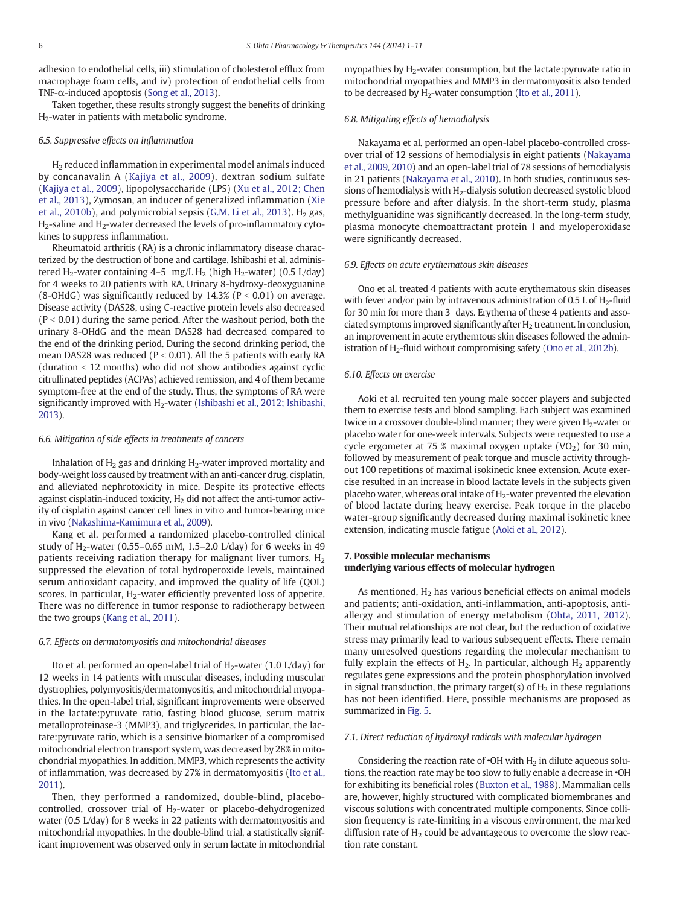adhesion to endothelial cells, iii) stimulation of cholesterol efflux from macrophage foam cells, and iv) protection of endothelial cells from TNF- $\alpha$ -induced apoptosis ([Song et al., 2013\)](#page-9-0).

Taken together, these results strongly suggest the benefits of drinking H2-water in patients with metabolic syndrome.

#### 6.5. Suppressive effects on inflammation

H2 reduced inflammation in experimental model animals induced by concanavalin A ([Kajiya et al., 2009\)](#page-8-0), dextran sodium sulfate [\(Kajiya et al., 2009\)](#page-8-0), lipopolysaccharide (LPS) [\(Xu et al., 2012; Chen](#page-10-0) [et al., 2013](#page-10-0)), Zymosan, an inducer of generalized inflammation ([Xie](#page-10-0) [et al., 2010b](#page-10-0)), and polymicrobial sepsis [\(G.M. Li et al., 2013\)](#page-9-0).  $H_2$  gas, H<sub>2</sub>-saline and H<sub>2</sub>-water decreased the levels of pro-inflammatory cytokines to suppress inflammation.

Rheumatoid arthritis (RA) is a chronic inflammatory disease characterized by the destruction of bone and cartilage. Ishibashi et al. administered H<sub>2</sub>-water containing 4–5 mg/L H<sub>2</sub> (high H<sub>2</sub>-water) (0.5 L/day) for 4 weeks to 20 patients with RA. Urinary 8-hydroxy-deoxyguanine (8-OHdG) was significantly reduced by  $14.3\%$  (P < 0.01) on average. Disease activity (DAS28, using C-reactive protein levels also decreased  $(P < 0.01)$  during the same period. After the washout period, both the urinary 8-OHdG and the mean DAS28 had decreased compared to the end of the drinking period. During the second drinking period, the mean DAS28 was reduced ( $P < 0.01$ ). All the 5 patients with early RA  $d$ uration  $\le$  12 months) who did not show antibodies against cyclic citrullinated peptides (ACPAs) achieved remission, and 4 of them became symptom-free at the end of the study. Thus, the symptoms of RA were significantly improved with  $H_2$ -water ([Ishibashi et al., 2012; Ishibashi,](#page-8-0) [2013](#page-8-0)).

#### 6.6. Mitigation of side effects in treatments of cancers

Inhalation of  $H_2$  gas and drinking  $H_2$ -water improved mortality and body-weight loss caused by treatment with an anti-cancer drug, cisplatin, and alleviated nephrotoxicity in mice. Despite its protective effects against cisplatin-induced toxicity,  $H_2$  did not affect the anti-tumor activity of cisplatin against cancer cell lines in vitro and tumor-bearing mice in vivo [\(Nakashima-Kamimura et al., 2009](#page-9-0)).

Kang et al. performed a randomized placebo-controlled clinical study of H<sub>2</sub>-water (0.55–0.65 mM, 1.5–2.0 L/day) for 6 weeks in 49 patients receiving radiation therapy for malignant liver tumors.  $H_2$ suppressed the elevation of total hydroperoxide levels, maintained serum antioxidant capacity, and improved the quality of life (QOL) scores. In particular, H<sub>2</sub>-water efficiently prevented loss of appetite. There was no difference in tumor response to radiotherapy between the two groups [\(Kang et al., 2011\)](#page-9-0).

#### 6.7. Effects on dermatomyositis and mitochondrial diseases

Ito et al. performed an open-label trial of  $H_2$ -water (1.0 L/day) for 12 weeks in 14 patients with muscular diseases, including muscular dystrophies, polymyositis/dermatomyositis, and mitochondrial myopathies. In the open-label trial, significant improvements were observed in the lactate:pyruvate ratio, fasting blood glucose, serum matrix metalloproteinase-3 (MMP3), and triglycerides. In particular, the lactate:pyruvate ratio, which is a sensitive biomarker of a compromised mitochondrial electron transport system, was decreased by 28% in mitochondrial myopathies. In addition, MMP3, which represents the activity of inflammation, was decreased by 27% in dermatomyositis ([Ito et al.,](#page-8-0) [2011\)](#page-8-0).

Then, they performed a randomized, double-blind, placebocontrolled, crossover trial of  $H_2$ -water or placebo-dehydrogenized water (0.5 L/day) for 8 weeks in 22 patients with dermatomyositis and mitochondrial myopathies. In the double-blind trial, a statistically significant improvement was observed only in serum lactate in mitochondrial myopathies by H<sub>2</sub>-water consumption, but the lactate: pyruvate ratio in mitochondrial myopathies and MMP3 in dermatomyositis also tended to be decreased by  $H_2$ -water consumption ([Ito et al., 2011\)](#page-8-0).

#### 6.8. Mitigating effects of hemodialysis

Nakayama et al. performed an open-label placebo-controlled crossover trial of 12 sessions of hemodialysis in eight patients ([Nakayama](#page-9-0) [et al., 2009, 2010\)](#page-9-0) and an open-label trial of 78 sessions of hemodialysis in 21 patients ([Nakayama et al., 2010\)](#page-9-0). In both studies, continuous sessions of hemodialysis with  $H_2$ -dialysis solution decreased systolic blood pressure before and after dialysis. In the short-term study, plasma methylguanidine was significantly decreased. In the long-term study, plasma monocyte chemoattractant protein 1 and myeloperoxidase were significantly decreased.

#### 6.9. Effects on acute erythematous skin diseases

Ono et al. treated 4 patients with acute erythematous skin diseases with fever and/or pain by intravenous administration of 0.5 L of  $H_2$ -fluid for 30 min for more than 3 days. Erythema of these 4 patients and associated symptoms improved significantly after  $H_2$  treatment. In conclusion, an improvement in acute erythemtous skin diseases followed the administration of  $H_2$ -fluid without compromising safety ([Ono et al., 2012b](#page-9-0)).

#### 6.10. Effects on exercise

Aoki et al. recruited ten young male soccer players and subjected them to exercise tests and blood sampling. Each subject was examined twice in a crossover double-blind manner; they were given  $H<sub>2</sub>$ -water or placebo water for one-week intervals. Subjects were requested to use a cycle ergometer at 75 % maximal oxygen uptake  $(VO<sub>2</sub>)$  for 30 min, followed by measurement of peak torque and muscle activity throughout 100 repetitions of maximal isokinetic knee extension. Acute exercise resulted in an increase in blood lactate levels in the subjects given placebo water, whereas oral intake of  $H_2$ -water prevented the elevation of blood lactate during heavy exercise. Peak torque in the placebo water-group significantly decreased during maximal isokinetic knee extension, indicating muscle fatigue ([Aoki et al., 2012](#page-8-0)).

#### 7. Possible molecular mechanisms underlying various effects of molecular hydrogen

As mentioned,  $H_2$  has various beneficial effects on animal models and patients; anti-oxidation, anti-inflammation, anti-apoptosis, antiallergy and stimulation of energy metabolism [\(Ohta, 2011, 2012](#page-9-0)). Their mutual relationships are not clear, but the reduction of oxidative stress may primarily lead to various subsequent effects. There remain many unresolved questions regarding the molecular mechanism to fully explain the effects of  $H<sub>2</sub>$ . In particular, although  $H<sub>2</sub>$  apparently regulates gene expressions and the protein phosphorylation involved in signal transduction, the primary target(s) of  $H_2$  in these regulations has not been identified. Here, possible mechanisms are proposed as summarized in [Fig. 5.](#page-6-0)

#### 7.1. Direct reduction of hydroxyl radicals with molecular hydrogen

Considering the reaction rate of  $\cdot$ OH with  $H_2$  in dilute aqueous solutions, the reaction rate may be too slow to fully enable a decrease in •OH for exhibiting its beneficial roles [\(Buxton et al., 1988\)](#page-8-0). Mammalian cells are, however, highly structured with complicated biomembranes and viscous solutions with concentrated multiple components. Since collision frequency is rate-limiting in a viscous environment, the marked diffusion rate of  $H<sub>2</sub>$  could be advantageous to overcome the slow reaction rate constant.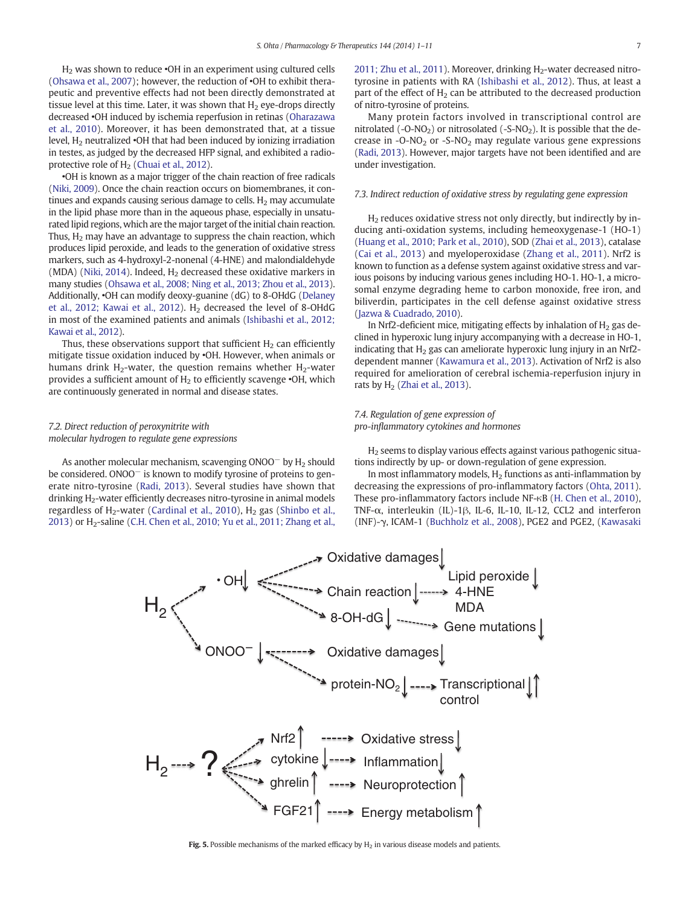<span id="page-6-0"></span>H2 was shown to reduce •OH in an experiment using cultured cells [\(Ohsawa et al., 2007\)](#page-9-0); however, the reduction of •OH to exhibit therapeutic and preventive effects had not been directly demonstrated at tissue level at this time. Later, it was shown that  $H<sub>2</sub>$  eye-drops directly decreased •OH induced by ischemia reperfusion in retinas ([Oharazawa](#page-9-0) [et al., 2010\)](#page-9-0). Moreover, it has been demonstrated that, at a tissue level,  $H_2$  neutralized  $\cdot$ OH that had been induced by ionizing irradiation in testes, as judged by the decreased HFP signal, and exhibited a radioprotective role of  $H<sub>2</sub>$  [\(Chuai et al., 2012\)](#page-8-0).

•OH is known as a major trigger of the chain reaction of free radicals [\(Niki, 2009](#page-9-0)). Once the chain reaction occurs on biomembranes, it continues and expands causing serious damage to cells.  $H_2$  may accumulate in the lipid phase more than in the aqueous phase, especially in unsaturated lipid regions, which are the major target of the initial chain reaction. Thus,  $H_2$  may have an advantage to suppress the chain reaction, which produces lipid peroxide, and leads to the generation of oxidative stress markers, such as 4-hydroxyl-2-nonenal (4-HNE) and malondialdehyde (MDA) ([Niki, 2014](#page-9-0)). Indeed,  $H<sub>2</sub>$  decreased these oxidative markers in many studies [\(Ohsawa et al., 2008; Ning et al., 2013; Zhou et al., 2013](#page-9-0)). Additionally, •OH can modify deoxy-guanine (dG) to 8-OHdG ([Delaney](#page-8-0) [et al., 2012; Kawai et al., 2012\)](#page-8-0).  $H_2$  decreased the level of 8-OHdG in most of the examined patients and animals [\(Ishibashi et al., 2012;](#page-8-0) [Kawai et al., 2012\)](#page-8-0).

Thus, these observations support that sufficient  $H<sub>2</sub>$  can efficiently mitigate tissue oxidation induced by •OH. However, when animals or humans drink H<sub>2</sub>-water, the question remains whether H<sub>2</sub>-water provides a sufficient amount of  $H_2$  to efficiently scavenge  $\cdot$ OH, which are continuously generated in normal and disease states.

#### 7.2. Direct reduction of peroxynitrite with molecular hydrogen to regulate gene expressions

As another molecular mechanism, scavenging ONOO<sup>-</sup> by H<sub>2</sub> should be considered. ONOO<sup>−</sup> is known to modify tyrosine of proteins to generate nitro-tyrosine ([Radi, 2013](#page-9-0)). Several studies have shown that drinking H<sub>2</sub>-water efficiently decreases nitro-tyrosine in animal models regardless of  $H_2$ -water ([Cardinal et al., 2010](#page-8-0)),  $H_2$  gas ([Shinbo et al.,](#page-9-0) [2013](#page-9-0)) or  $H_2$ -saline ([C.H. Chen et al., 2010; Yu et al., 2011; Zhang et al.,](#page-8-0)  $2011$ ; Zhu et al.,  $2011$ ). Moreover, drinking  $H_2$ -water decreased nitrotyrosine in patients with RA ([Ishibashi et al., 2012\)](#page-8-0). Thus, at least a part of the effect of  $H<sub>2</sub>$  can be attributed to the decreased production of nitro-tyrosine of proteins.

Many protein factors involved in transcriptional control are nitrolated  $(-O-NO<sub>2</sub>)$  or nitrosolated  $(-S-NO<sub>2</sub>)$ . It is possible that the decrease in  $-O-NO<sub>2</sub>$  or  $-S-NO<sub>2</sub>$  may regulate various gene expressions [\(Radi, 2013\)](#page-9-0). However, major targets have not been identified and are under investigation.

#### 7.3. Indirect reduction of oxidative stress by regulating gene expression

H2 reduces oxidative stress not only directly, but indirectly by inducing anti-oxidation systems, including hemeoxygenase-1 (HO-1) [\(Huang et al., 2010; Park et al., 2010\)](#page-8-0), SOD [\(Zhai et al., 2013\)](#page-10-0), catalase [\(Cai et al., 2013](#page-8-0)) and myeloperoxidase ([Zhang et al., 2011](#page-10-0)). Nrf2 is known to function as a defense system against oxidative stress and various poisons by inducing various genes including HO-1. HO-1, a microsomal enzyme degrading heme to carbon monoxide, free iron, and biliverdin, participates in the cell defense against oxidative stress [\(Jazwa & Cuadrado, 2010](#page-8-0)).

In Nrf2-deficient mice, mitigating effects by inhalation of  $H<sub>2</sub>$  gas declined in hyperoxic lung injury accompanying with a decrease in HO-1, indicating that  $H<sub>2</sub>$  gas can ameliorate hyperoxic lung injury in an Nrf2dependent manner [\(Kawamura et al., 2013\)](#page-9-0). Activation of Nrf2 is also required for amelioration of cerebral ischemia-reperfusion injury in rats by  $H_2$  [\(Zhai et al., 2013](#page-10-0)).

#### 7.4. Regulation of gene expression of pro-inflammatory cytokines and hormones

H2 seems to display various effects against various pathogenic situations indirectly by up- or down-regulation of gene expression.

In most inflammatory models,  $H_2$  functions as anti-inflammation by decreasing the expressions of pro-inflammatory factors ([Ohta, 2011](#page-9-0)). These pro-inflammatory factors include NF-κB [\(H. Chen et al., 2010](#page-8-0)), TNF-α, interleukin (IL)-1β, IL-6, IL-10, IL-12, CCL2 and interferon (INF)-γ, ICAM-1 ([Buchholz et al., 2008\)](#page-8-0), PGE2 and PGE2, ([Kawasaki](#page-9-0)

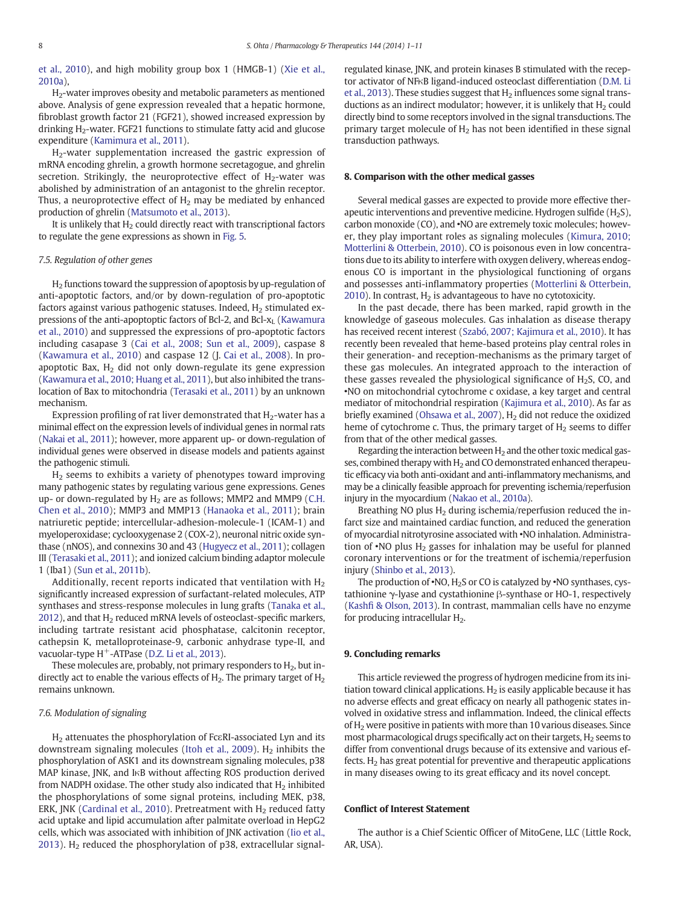[et al., 2010\)](#page-9-0), and high mobility group box 1 (HMGB-1) [\(Xie et al.,](#page-10-0) [2010a\)](#page-10-0),

H2-water improves obesity and metabolic parameters as mentioned above. Analysis of gene expression revealed that a hepatic hormone, fibroblast growth factor 21 (FGF21), showed increased expression by drinking  $H_2$ -water. FGF21 functions to stimulate fatty acid and glucose expenditure [\(Kamimura et al., 2011](#page-8-0)).

H2-water supplementation increased the gastric expression of mRNA encoding ghrelin, a growth hormone secretagogue, and ghrelin secretion. Strikingly, the neuroprotective effect of  $H_2$ -water was abolished by administration of an antagonist to the ghrelin receptor. Thus, a neuroprotective effect of  $H_2$  may be mediated by enhanced production of ghrelin ([Matsumoto et al., 2013](#page-9-0)).

It is unlikely that  $H_2$  could directly react with transcriptional factors to regulate the gene expressions as shown in [Fig. 5.](#page-6-0)

#### 7.5. Regulation of other genes

 $H<sub>2</sub>$  functions toward the suppression of apoptosis by up-regulation of anti-apoptotic factors, and/or by down-regulation of pro-apoptotic factors against various pathogenic statuses. Indeed,  $H<sub>2</sub>$  stimulated ex-pressions of the anti-apoptoptic factors of Bcl-2, and Bcl-x<sub>L</sub> [\(Kawamura](#page-9-0) [et al., 2010\)](#page-9-0) and suppressed the expressions of pro-apoptotic factors including casapase 3 [\(Cai et al., 2008; Sun et al., 2009](#page-8-0)), caspase 8 [\(Kawamura et al., 2010\)](#page-9-0) and caspase 12 (J. [Cai et al., 2008](#page-8-0)). In proapoptotic Bax,  $H_2$  did not only down-regulate its gene expression [\(Kawamura et al., 2010; Huang et al., 2011](#page-9-0)), but also inhibited the translocation of Bax to mitochondria [\(Terasaki et al., 2011\)](#page-9-0) by an unknown mechanism.

Expression profiling of rat liver demonstrated that  $H_2$ -water has a minimal effect on the expression levels of individual genes in normal rats [\(Nakai et al., 2011\)](#page-9-0); however, more apparent up- or down-regulation of individual genes were observed in disease models and patients against the pathogenic stimuli.

H2 seems to exhibits a variety of phenotypes toward improving many pathogenic states by regulating various gene expressions. Genes up- or down-regulated by  $H_2$  are as follows; MMP2 and MMP9 [\(C.H.](#page-8-0) [Chen et al., 2010\)](#page-8-0); MMP3 and MMP13 ([Hanaoka et al., 2011\)](#page-8-0); brain natriuretic peptide; intercellular-adhesion-molecule-1 (ICAM-1) and myeloperoxidase; cyclooxygenase 2 (COX-2), neuronal nitric oxide synthase (nNOS), and connexins 30 and 43 ([Hugyecz et al., 2011\)](#page-8-0); collagen III ([Terasaki et al., 2011\)](#page-9-0); and ionized calcium binding adaptor molecule 1 (Iba1) [\(Sun et al., 2011b](#page-9-0)).

Additionally, recent reports indicated that ventilation with  $H_2$ significantly increased expression of surfactant-related molecules, ATP synthases and stress-response molecules in lung grafts ([Tanaka et al.,](#page-9-0)  $2012$ ), and that H<sub>2</sub> reduced mRNA levels of osteoclast-specific markers, including tartrate resistant acid phosphatase, calcitonin receptor, cathepsin K, metalloproteinase-9, carbonic anhydrase type-II, and vacuolar-type H<sup>+</sup>-ATPase [\(D.Z. Li et al., 2013\)](#page-9-0).

These molecules are, probably, not primary responders to  $H_2$ , but indirectly act to enable the various effects of  $H_2$ . The primary target of  $H_2$ remains unknown.

#### 7.6. Modulation of signaling

H2 attenuates the phosphorylation of FcεRI-associated Lyn and its downstream signaling molecules ([Itoh et al., 2009\)](#page-8-0).  $H_2$  inhibits the phosphorylation of ASK1 and its downstream signaling molecules, p38 MAP kinase, JNK, and IκB without affecting ROS production derived from NADPH oxidase. The other study also indicated that  $H_2$  inhibited the phosphorylations of some signal proteins, including MEK, p38, ERK, JNK ([Cardinal et al., 2010\)](#page-8-0). Pretreatment with  $H_2$  reduced fatty acid uptake and lipid accumulation after palmitate overload in HepG2 cells, which was associated with inhibition of JNK activation ([Iio et al.,](#page-8-0) [2013](#page-8-0)). H<sub>2</sub> reduced the phosphorylation of p38, extracellular signalregulated kinase, JNK, and protein kinases B stimulated with the receptor activator of NFκB ligand-induced osteoclast differentiation [\(D.M. Li](#page-9-0) [et al., 2013](#page-9-0)). These studies suggest that  $H_2$  influences some signal transductions as an indirect modulator; however, it is unlikely that  $H_2$  could directly bind to some receptors involved in the signal transductions. The primary target molecule of  $H_2$  has not been identified in these signal transduction pathways.

#### 8. Comparison with the other medical gasses

Several medical gasses are expected to provide more effective therapeutic interventions and preventive medicine. Hydrogen sulfide  $(H<sub>2</sub>S)$ , carbon monoxide (CO), and •NO are extremely toxic molecules; however, they play important roles as signaling molecules [\(Kimura, 2010;](#page-9-0) [Motterlini & Otterbein, 2010\)](#page-9-0). CO is poisonous even in low concentrations due to its ability to interfere with oxygen delivery, whereas endogenous CO is important in the physiological functioning of organs and possesses anti-inflammatory properties ([Motterlini & Otterbein,](#page-9-0) [2010\)](#page-9-0). In contrast,  $H_2$  is advantageous to have no cytotoxicity.

In the past decade, there has been marked, rapid growth in the knowledge of gaseous molecules. Gas inhalation as disease therapy has received recent interest [\(Szabó, 2007; Kajimura et al., 2010](#page-9-0)). It has recently been revealed that heme-based proteins play central roles in their generation- and reception-mechanisms as the primary target of these gas molecules. An integrated approach to the interaction of these gasses revealed the physiological significance of  $H_2S$ , CO, and •NO on mitochondrial cytochrome c oxidase, a key target and central mediator of mitochondrial respiration [\(Kajimura et al., 2010\)](#page-8-0). As far as briefly examined [\(Ohsawa et al., 2007](#page-9-0)), H<sub>2</sub> did not reduce the oxidized heme of cytochrome c. Thus, the primary target of  $H<sub>2</sub>$  seems to differ from that of the other medical gasses.

Regarding the interaction between  $H_2$  and the other toxic medical gasses, combined therapy with  $H_2$  and CO demonstrated enhanced therapeutic efficacy via both anti-oxidant and anti-inflammatory mechanisms, and may be a clinically feasible approach for preventing ischemia/reperfusion injury in the myocardium [\(Nakao et al., 2010a\)](#page-9-0).

Breathing NO plus  $H<sub>2</sub>$  during ischemia/reperfusion reduced the infarct size and maintained cardiac function, and reduced the generation of myocardial nitrotyrosine associated with •NO inhalation. Administration of  $\cdot$ NO plus H<sub>2</sub> gasses for inhalation may be useful for planned coronary interventions or for the treatment of ischemia/reperfusion injury [\(Shinbo et al., 2013\)](#page-9-0).

The production of  $\cdot$ NO, H<sub>2</sub>S or CO is catalyzed by  $\cdot$ NO synthases, cystathionine γ-lyase and cystathionine β-synthase or HO-1, respectively (Kashfi [& Olson, 2013\)](#page-9-0). In contrast, mammalian cells have no enzyme for producing intracellular  $H<sub>2</sub>$ .

#### 9. Concluding remarks

This article reviewed the progress of hydrogen medicine from its initiation toward clinical applications.  $H_2$  is easily applicable because it has no adverse effects and great efficacy on nearly all pathogenic states involved in oxidative stress and inflammation. Indeed, the clinical effects of H<sub>2</sub> were positive in patients with more than 10 various diseases. Since most pharmacological drugs specifically act on their targets,  $H_2$  seems to differ from conventional drugs because of its extensive and various effects.  $H_2$  has great potential for preventive and therapeutic applications in many diseases owing to its great efficacy and its novel concept.

#### Conflict of Interest Statement

The author is a Chief Scientic Officer of MitoGene, LLC (Little Rock, AR, USA).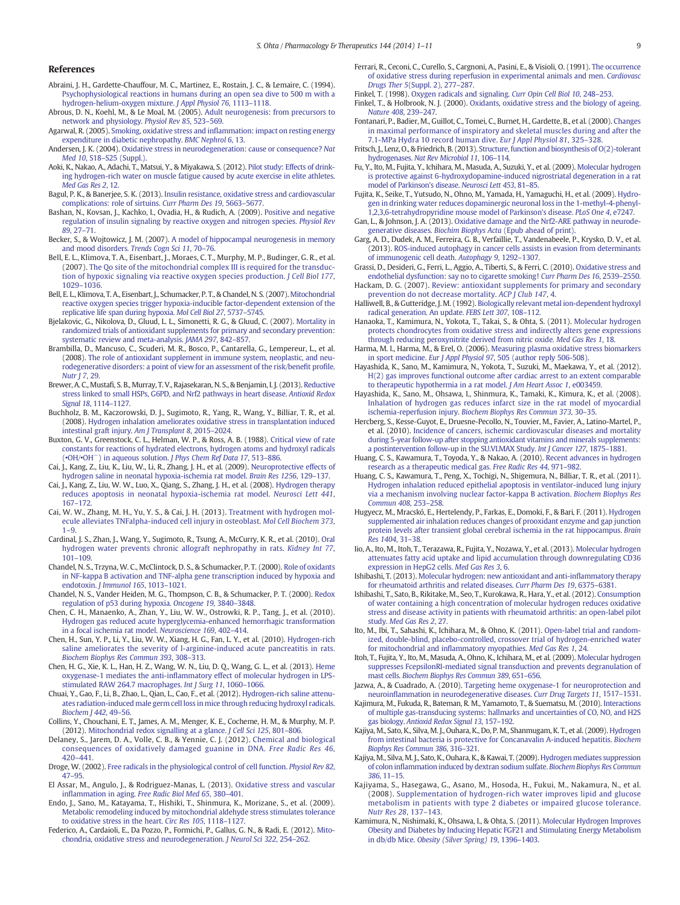#### <span id="page-8-0"></span>References

- Abraini, J. H., Gardette-Chauffour, M. C., Martinez, E., Rostain, J. C., & Lemaire, C. (1994). [Psychophysiological reactions in humans during an open sea dive to 500 m with a](http://refhub.elsevier.com/S0163-7258(14)00094-1/rf0005) [hydrogen-helium-oxygen mixture.](http://refhub.elsevier.com/S0163-7258(14)00094-1/rf0005) J Appl Physiol 76, 1113–1118.
- Abrous, D. N., Koehl, M., & Le Moal, M. (2005). [Adult neurogenesis: from precursors to](http://refhub.elsevier.com/S0163-7258(14)00094-1/rf0010) [network and physiology.](http://refhub.elsevier.com/S0163-7258(14)00094-1/rf0010) Physiol Rev 85, 523–569.
- Agarwal, R. (2005). Smoking, oxidative stress and infl[ammation: impact on resting energy](http://refhub.elsevier.com/S0163-7258(14)00094-1/rf0015) [expenditure in diabetic nephropathy.](http://refhub.elsevier.com/S0163-7258(14)00094-1/rf0015) BMC Nephrol 6, 13.
- Andersen, J. K. (2004). [Oxidative stress in neurodegeneration: cause or consequence?](http://refhub.elsevier.com/S0163-7258(14)00094-1/rf0695) Nat Med 10, S18–[S25 \(Suppl.\).](http://refhub.elsevier.com/S0163-7258(14)00094-1/rf0695)
- Aoki, K., Nakao, A., Adachi, T., Matsui, Y., & Miyakawa, S. (2012). [Pilot study: Effects of drink](http://refhub.elsevier.com/S0163-7258(14)00094-1/rf0025)[ing hydrogen-rich water on muscle fatigue caused by acute exercise in elite athletes.](http://refhub.elsevier.com/S0163-7258(14)00094-1/rf0025) [Med Gas Res 2](http://refhub.elsevier.com/S0163-7258(14)00094-1/rf0025), 12.
- Bagul, P. K., & Banerjee, S. K. (2013). [Insulin resistance, oxidative stress and cardiovascular](http://refhub.elsevier.com/S0163-7258(14)00094-1/rf0030) [complications: role of sirtuins.](http://refhub.elsevier.com/S0163-7258(14)00094-1/rf0030) Curr Pharm Des 19, 5663–5677.
- Bashan, N., Kovsan, J., Kachko, I., Ovadia, H., & Rudich, A. (2009). [Positive and negative](http://refhub.elsevier.com/S0163-7258(14)00094-1/rf0035) [regulation of insulin signaling by reactive oxygen and nitrogen species.](http://refhub.elsevier.com/S0163-7258(14)00094-1/rf0035) Physiol Rev 89[, 27](http://refhub.elsevier.com/S0163-7258(14)00094-1/rf0035)–71.
- Becker, S., & Wojtowicz, J. M. (2007). [A model of hippocampal neurogenesis in memory](http://refhub.elsevier.com/S0163-7258(14)00094-1/rf0040) [and mood disorders.](http://refhub.elsevier.com/S0163-7258(14)00094-1/rf0040) Trends Cogn Sci 11, 70–76.
- Bell, E. L., Klimova, T. A., Eisenbart, J., Moraes, C. T., Murphy, M. P., Budinger, G. R., et al. (2007). [The Qo site of the mitochondrial complex III is required for the transduc](http://refhub.elsevier.com/S0163-7258(14)00094-1/rf0045)[tion of hypoxic signaling via reactive oxygen species production.](http://refhub.elsevier.com/S0163-7258(14)00094-1/rf0045) J Cell Biol 177, 1029–[1036.](http://refhub.elsevier.com/S0163-7258(14)00094-1/rf0045)
- Bell, E. L., Klimova, T. A., Eisenbart, J., Schumacker, P. T., & Chandel, N. S. (2007). [Mitochondrial](http://refhub.elsevier.com/S0163-7258(14)00094-1/rf0050) [reactive oxygen species trigger hypoxia-inducible factor-dependent extension of the](http://refhub.elsevier.com/S0163-7258(14)00094-1/rf0050) [replicative life span during hypoxia.](http://refhub.elsevier.com/S0163-7258(14)00094-1/rf0050) Mol Cell Biol 27, 5737–5745.
- Bjelakovic, G., Nikolova, D., Gluud, L. L., Simonetti, R. G., & Gluud, C. (2007). [Mortality in](http://refhub.elsevier.com/S0163-7258(14)00094-1/rf0055) [randomized trials of antioxidant supplements for primary and secondary prevention:](http://refhub.elsevier.com/S0163-7258(14)00094-1/rf0055) [systematic review and meta-analysis.](http://refhub.elsevier.com/S0163-7258(14)00094-1/rf0055) JAMA 297, 842–857.
- Brambilla, D., Mancuso, C., Scuderi, M. R., Bosco, P., Cantarella, G., Lempereur, L., et al. (2008). [The role of antioxidant supplement in immune system, neoplastic, and neu](http://refhub.elsevier.com/S0163-7258(14)00094-1/rf0060)[rodegenerative disorders: a point of view for an assessment of the risk/bene](http://refhub.elsevier.com/S0163-7258(14)00094-1/rf0060)fit profile. [Nutr J 7](http://refhub.elsevier.com/S0163-7258(14)00094-1/rf0060), 29.
- Brewer, A. C., Mustafi, S. B., Murray, T. V., Rajasekaran, N. S., & Benjamin, I. J. (2013). [Reductive](http://refhub.elsevier.com/S0163-7258(14)00094-1/rf0065) [stress linked to small HSPs, G6PD, and Nrf2 pathways in heart disease.](http://refhub.elsevier.com/S0163-7258(14)00094-1/rf0065) Antioxid Redox [Signal 18](http://refhub.elsevier.com/S0163-7258(14)00094-1/rf0065), 1114–1127.
- Buchholz, B. M., Kaczorowski, D. J., Sugimoto, R., Yang, R., Wang, Y., Billiar, T. R., et al. (2008). [Hydrogen inhalation ameliorates oxidative stress in transplantation induced](http://refhub.elsevier.com/S0163-7258(14)00094-1/rf0070) [intestinal graft injury.](http://refhub.elsevier.com/S0163-7258(14)00094-1/rf0070) Am J Transplant 8, 2015–2024.
- Buxton, G. V., Greenstock, C. L., Helman, W. P., & Ross, A. B. (1988). [Critical view of rate](http://refhub.elsevier.com/S0163-7258(14)00094-1/rf0075) [constants for reactions of hydrated electrons, hydrogen atoms and hydroxyl radicals](http://refhub.elsevier.com/S0163-7258(14)00094-1/rf0075) (•[OH/](http://refhub.elsevier.com/S0163-7258(14)00094-1/rf0075)•OH−) in aqueous solution. [J Phys Chem Ref Data 17](http://refhub.elsevier.com/S0163-7258(14)00094-1/rf0075), 513–886.
- Cai, J., Kang, Z., Liu, K., Liu, W., Li, R., Zhang, J. H., et al. (2009). [Neuroprotective effects of](http://refhub.elsevier.com/S0163-7258(14)00094-1/rf0080) [hydrogen saline in neonatal hypoxia-ischemia rat model.](http://refhub.elsevier.com/S0163-7258(14)00094-1/rf0080) Brain Res 1256, 129–137.
- Cai, J., Kang, Z., Liu, W. W., Luo, X., Qiang, S., Zhang, J. H., et al. (2008). [Hydrogen therapy](http://refhub.elsevier.com/S0163-7258(14)00094-1/rf0085) [reduces apoptosis in neonatal hypoxia-ischemia rat model.](http://refhub.elsevier.com/S0163-7258(14)00094-1/rf0085) Neurosci Lett 441, 167–[172.](http://refhub.elsevier.com/S0163-7258(14)00094-1/rf0085)
- Cai, W. W., Zhang, M. H., Yu, Y. S., & Cai, J. H. (2013). [Treatment with hydrogen mol](http://refhub.elsevier.com/S0163-7258(14)00094-1/rf0090)[ecule alleviates TNFalpha-induced cell injury in osteoblast.](http://refhub.elsevier.com/S0163-7258(14)00094-1/rf0090) Mol Cell Biochem 373,  $1 - 9$
- Cardinal, J. S., Zhan, J., Wang, Y., Sugimoto, R., Tsung, A., McCurry, K. R., et al. (2010). [Oral](http://refhub.elsevier.com/S0163-7258(14)00094-1/rf0095) [hydrogen water prevents chronic allograft nephropathy in rats.](http://refhub.elsevier.com/S0163-7258(14)00094-1/rf0095) Kidney Int 77, 101–[109.](http://refhub.elsevier.com/S0163-7258(14)00094-1/rf0095)
- Chandel, N. S., Trzyna, W. C., McClintock, D. S., & Schumacker, P. T. (2000). [Role of oxidants](http://refhub.elsevier.com/S0163-7258(14)00094-1/rf0100) [in NF-kappa B activation and TNF-alpha gene transcription induced by hypoxia and](http://refhub.elsevier.com/S0163-7258(14)00094-1/rf0100) endotoxin. [J Immunol 165](http://refhub.elsevier.com/S0163-7258(14)00094-1/rf0100), 1013–1021.
- Chandel, N. S., Vander Heiden, M. G., Thompson, C. B., & Schumacker, P. T. (2000). [Redox](http://refhub.elsevier.com/S0163-7258(14)00094-1/rf0105) [regulation of p53 during hypoxia.](http://refhub.elsevier.com/S0163-7258(14)00094-1/rf0105) Oncogene 19, 3840–3848.
- Chen, C. H., Manaenko, A., Zhan, Y., Liu, W. W., Ostrowki, R. P., Tang, J., et al. (2010). [Hydrogen gas reduced acute hyperglycemia-enhanced hemorrhagic transformation](http://refhub.elsevier.com/S0163-7258(14)00094-1/rf0110) [in a focal ischemia rat model.](http://refhub.elsevier.com/S0163-7258(14)00094-1/rf0110) Neuroscience 169, 402–414.
- Chen, H., Sun, Y. P., Li, Y., Liu, W. W., Xiang, H. G., Fan, L. Y., et al. (2010). [Hydrogen-rich](http://refhub.elsevier.com/S0163-7258(14)00094-1/rf0115) [saline ameliorates the severity of l-arginine-induced acute pancreatitis in rats.](http://refhub.elsevier.com/S0163-7258(14)00094-1/rf0115) [Biochem Biophys Res Commun 393](http://refhub.elsevier.com/S0163-7258(14)00094-1/rf0115), 308–313.
- Chen, H. G., Xie, K. L., Han, H. Z., Wang, W. N., Liu, D. Q., Wang, G. L., et al. (2013). [Heme](http://refhub.elsevier.com/S0163-7258(14)00094-1/rf0120) oxygenase-1 mediates the anti-infl[ammatory effect of molecular hydrogen in LPS](http://refhub.elsevier.com/S0163-7258(14)00094-1/rf0120)[stimulated RAW 264.7 macrophages.](http://refhub.elsevier.com/S0163-7258(14)00094-1/rf0120) Int J Surg 11, 1060–1066.
- Chuai, Y., Gao, F., Li, B., Zhao, L., Qian, L., Cao, F., et al. (2012). [Hydrogen-rich saline attenu](http://refhub.elsevier.com/S0163-7258(14)00094-1/rf0125)[ates radiation-induced male germ cell loss in mice through reducing hydroxyl radicals.](http://refhub.elsevier.com/S0163-7258(14)00094-1/rf0125) [Biochem J 442](http://refhub.elsevier.com/S0163-7258(14)00094-1/rf0125), 49–56.
- Collins, Y., Chouchani, E. T., James, A. M., Menger, K. E., Cocheme, H. M., & Murphy, M. P. (2012). [Mitochondrial redox signalling at a glance.](http://refhub.elsevier.com/S0163-7258(14)00094-1/rf0130) J Cell Sci 125, 801–806.
- Delaney, S., Jarem, D. A., Volle, C. B., & Yennie, C. J. (2012). [Chemical and biological](http://refhub.elsevier.com/S0163-7258(14)00094-1/rf0135) [consequences of oxidatively damaged guanine in DNA.](http://refhub.elsevier.com/S0163-7258(14)00094-1/rf0135) Free Radic Res 46, 420–[441.](http://refhub.elsevier.com/S0163-7258(14)00094-1/rf0135)
- Droge, W. (2002). [Free radicals in the physiological control of cell function.](http://refhub.elsevier.com/S0163-7258(14)00094-1/rf0140) Physiol Rev 82, 47–[95.](http://refhub.elsevier.com/S0163-7258(14)00094-1/rf0140)
- El Assar, M., Angulo, J., & Rodriguez-Manas, L. (2013). [Oxidative stress and vascular](http://refhub.elsevier.com/S0163-7258(14)00094-1/rf0145) inflammation in aging. [Free Radic Biol Med 65](http://refhub.elsevier.com/S0163-7258(14)00094-1/rf0145), 380–401.
- Endo, J., Sano, M., Katayama, T., Hishiki, T., Shinmura, K., Morizane, S., et al. (2009). [Metabolic remodeling induced by mitochondrial aldehyde stress stimulates tolerance](http://refhub.elsevier.com/S0163-7258(14)00094-1/rf0150) [to oxidative stress in the heart.](http://refhub.elsevier.com/S0163-7258(14)00094-1/rf0150) Circ Res 105, 1118–1127.
- Federico, A., Cardaioli, E., Da Pozzo, P., Formichi, P., Gallus, G. N., & Radi, E. (2012). [Mito](http://refhub.elsevier.com/S0163-7258(14)00094-1/rf0155)[chondria, oxidative stress and neurodegeneration.](http://refhub.elsevier.com/S0163-7258(14)00094-1/rf0155) J Neurol Sci 322, 254–262.
- Ferrari, R., Ceconi, C., Curello, S., Cargnoni, A., Pasini, E., & Visioli, O. (1991). [The occurrence](http://refhub.elsevier.com/S0163-7258(14)00094-1/rf0160) [of oxidative stress during reperfusion in experimental animals and men.](http://refhub.elsevier.com/S0163-7258(14)00094-1/rf0160) Cardiovasc Drugs Ther 5[\(Suppl. 2\), 277](http://refhub.elsevier.com/S0163-7258(14)00094-1/rf0160)–287.
- Finkel, T. (1998). [Oxygen radicals and signaling.](http://refhub.elsevier.com/S0163-7258(14)00094-1/rf0165) Curr Opin Cell Biol 10, 248–253.
- Finkel, T., & Holbrook, N. J. (2000). [Oxidants, oxidative stress and the biology of ageing.](http://refhub.elsevier.com/S0163-7258(14)00094-1/rf0170) [Nature 408](http://refhub.elsevier.com/S0163-7258(14)00094-1/rf0170), 239–247.
- Fontanari, P., Badier, M., Guillot, C., Tomei, C., Burnet, H., Gardette, B., et al. (2000). [Changes](http://refhub.elsevier.com/S0163-7258(14)00094-1/rf0175) [in maximal performance of inspiratory and skeletal muscles during and after the](http://refhub.elsevier.com/S0163-7258(14)00094-1/rf0175) [7.1-MPa Hydra 10 record human dive.](http://refhub.elsevier.com/S0163-7258(14)00094-1/rf0175) Eur J Appl Physiol 81, 325–328.
- Fritsch, J., Lenz, O., & Friedrich, B. (2013). [Structure, function and biosynthesis of O\(2\)-tolerant](http://refhub.elsevier.com/S0163-7258(14)00094-1/rf0180) hydrogenases. [Nat Rev Microbiol 11](http://refhub.elsevier.com/S0163-7258(14)00094-1/rf0180), 106–114
- Fu, Y., Ito, M., Fujita, Y., Ichihara, M., Masuda, A., Suzuki, Y., et al. (2009). [Molecular hydrogen](http://refhub.elsevier.com/S0163-7258(14)00094-1/rf0185) [is protective against 6-hydroxydopamine-induced nigrostriatal degeneration in a rat](http://refhub.elsevier.com/S0163-7258(14)00094-1/rf0185) [model of Parkinson's disease.](http://refhub.elsevier.com/S0163-7258(14)00094-1/rf0185) Neurosci Lett 453, 81–85.
- Fujita, K., Seike, T., Yutsudo, N., Ohno, M., Yamada, H., Yamaguchi, H., et al. (2009). [Hydro](http://refhub.elsevier.com/S0163-7258(14)00094-1/rf0190)[gen in drinking water reduces dopaminergic neuronal loss in the 1-methyl-4-phenyl-](http://refhub.elsevier.com/S0163-7258(14)00094-1/rf0190)[1,2,3,6-tetrahydropyridine mouse model of Parkinson's disease.](http://refhub.elsevier.com/S0163-7258(14)00094-1/rf0190) PLoS One 4, e7247.
- Gan, L., & Johnson, J. A. (2013). [Oxidative damage and the Nrf2-ARE pathway in neurode](http://refhub.elsevier.com/S0163-7258(14)00094-1/rf0700)generative diseases. Biochim Biophys Acta [\(Epub ahead of print\).](http://refhub.elsevier.com/S0163-7258(14)00094-1/rf0700)
- Garg, A. D., Dudek, A. M., Ferreira, G. B., Verfaillie, T., Vandenabeele, P., Krysko, D. V., et al. (2013). [ROS-induced autophagy in cancer cells assists in evasion from determinants](http://refhub.elsevier.com/S0163-7258(14)00094-1/rf0200) [of immunogenic cell death.](http://refhub.elsevier.com/S0163-7258(14)00094-1/rf0200) Autophagy 9, 1292–1307.
- Grassi, D., Desideri, G., Ferri, L., Aggio, A., Tiberti, S., & Ferri, C. (2010). [Oxidative stress and](http://refhub.elsevier.com/S0163-7258(14)00094-1/rf0205) [endothelial dysfunction: say no to cigarette smoking!](http://refhub.elsevier.com/S0163-7258(14)00094-1/rf0205) Curr Pharm Des 16, 2539–2550.
- Hackam, D. G. (2007). [Review: antioxidant supplements for primary and secondary](http://refhub.elsevier.com/S0163-7258(14)00094-1/rf0210) [prevention do not decrease mortality.](http://refhub.elsevier.com/S0163-7258(14)00094-1/rf0210) ACP J Club 147, 4.
- Halliwell, B., & Gutteridge, J.M. (1992). [Biologically relevant metal ion-dependent hydroxyl](http://refhub.elsevier.com/S0163-7258(14)00094-1/rf0215) [radical generation. An update.](http://refhub.elsevier.com/S0163-7258(14)00094-1/rf0215) FEBS Lett 307, 108–112.
- Hanaoka, T., Kamimura, N., Yokota, T., Takai, S., & Ohta, S. (2011). [Molecular hydrogen](http://refhub.elsevier.com/S0163-7258(14)00094-1/rf0220) [protects chondrocytes from oxidative stress and indirectly alters gene expressions](http://refhub.elsevier.com/S0163-7258(14)00094-1/rf0220) [through reducing peroxynitrite derived from nitric oxide.](http://refhub.elsevier.com/S0163-7258(14)00094-1/rf0220) Med Gas Res 1, 18.
- Harma, M. I., Harma, M., & Erel, O. (2006). [Measuring plasma oxidative stress biomarkers](http://refhub.elsevier.com/S0163-7258(14)00094-1/rf0705) in sport medicine. Eur J Appl Physiol 97[, 505 \(author reply 506-508\).](http://refhub.elsevier.com/S0163-7258(14)00094-1/rf0705)
- Hayashida, K., Sano, M., Kamimura, N., Yokota, T., Suzuki, M., Maekawa, Y., et al. (2012). [H\(2\) gas improves functional outcome after cardiac arrest to an extent comparable](http://refhub.elsevier.com/S0163-7258(14)00094-1/rf0225) [to therapeutic hypothermia in a rat model.](http://refhub.elsevier.com/S0163-7258(14)00094-1/rf0225) J Am Heart Assoc 1, e003459.
- Hayashida, K., Sano, M., Ohsawa, I., Shinmura, K., Tamaki, K., Kimura, K., et al. (2008). [Inhalation of hydrogen gas reduces infarct size in the rat model of myocardial](http://refhub.elsevier.com/S0163-7258(14)00094-1/rf0230) ischemia-reperfusion injury. [Biochem Biophys Res Commun 373](http://refhub.elsevier.com/S0163-7258(14)00094-1/rf0230), 30–35.
- Hercberg, S., Kesse-Guyot, E., Druesne-Pecollo, N., Touvier, M., Favier, A., Latino-Martel, P., et al. (2010). [Incidence of cancers, ischemic cardiovascular diseases and mortality](http://refhub.elsevier.com/S0163-7258(14)00094-1/rf0235) [during 5-year follow-up after stopping antioxidant vitamins and minerals supplements:](http://refhub.elsevier.com/S0163-7258(14)00094-1/rf0235) [a postintervention follow-up in the SU.VI.MAX Study.](http://refhub.elsevier.com/S0163-7258(14)00094-1/rf0235) Int J Cancer 127, 1875–1881.
- Huang, C. S., Kawamura, T., Toyoda, Y., & Nakao, A. (2010). [Recent advances in hydrogen](http://refhub.elsevier.com/S0163-7258(14)00094-1/rf0240) [research as a therapeutic medical gas.](http://refhub.elsevier.com/S0163-7258(14)00094-1/rf0240) Free Radic Res 44, 971–982.
- Huang, C. S., Kawamura, T., Peng, X., Tochigi, N., Shigemura, N., Billiar, T. R., et al. (2011). [Hydrogen inhalation reduced epithelial apoptosis in ventilator-induced lung injury](http://refhub.elsevier.com/S0163-7258(14)00094-1/rf8000) [via a mechanism involving nuclear factor-kappa B activation.](http://refhub.elsevier.com/S0163-7258(14)00094-1/rf8000) Biochem Biophys Res [Commun 408](http://refhub.elsevier.com/S0163-7258(14)00094-1/rf8000), 253–258.
- Hugyecz, M., Mracskó, E., Hertelendy, P., Farkas, E., Domoki, F., & Bari, F. (2011). [Hydrogen](http://refhub.elsevier.com/S0163-7258(14)00094-1/rf0245) [supplemented air inhalation reduces changes of prooxidant enzyme and gap junction](http://refhub.elsevier.com/S0163-7258(14)00094-1/rf0245) [protein levels after transient global cerebral ischemia in the rat hippocampus.](http://refhub.elsevier.com/S0163-7258(14)00094-1/rf0245) Brain [Res 1404](http://refhub.elsevier.com/S0163-7258(14)00094-1/rf0245), 31–38.
- Iio, A., Ito, M., Itoh, T., Terazawa, R., Fujita, Y., Nozawa, Y., et al. (2013). [Molecular hydrogen](http://refhub.elsevier.com/S0163-7258(14)00094-1/rf0250) [attenuates fatty acid uptake and lipid accumulation through downregulating CD36](http://refhub.elsevier.com/S0163-7258(14)00094-1/rf0250) [expression in HepG2 cells.](http://refhub.elsevier.com/S0163-7258(14)00094-1/rf0250) Med Gas Res 3, 6.
- Ishibashi, T. (2013). [Molecular hydrogen: new antioxidant and anti-in](http://refhub.elsevier.com/S0163-7258(14)00094-1/rf0255)flammatory therapy [for rheumatoid arthritis and related diseases.](http://refhub.elsevier.com/S0163-7258(14)00094-1/rf0255) Curr Pharm Des 19, 6375–6381.
- Ishibashi, T., Sato, B., Rikitake, M., Seo, T., Kurokawa, R., Hara, Y., et al. (2012). [Consumption](http://refhub.elsevier.com/S0163-7258(14)00094-1/rf0260) [of water containing a high concentration of molecular hydrogen reduces oxidative](http://refhub.elsevier.com/S0163-7258(14)00094-1/rf0260) [stress and disease activity in patients with rheumatoid arthritis: an open-label pilot](http://refhub.elsevier.com/S0163-7258(14)00094-1/rf0260) study. [Med Gas Res 2](http://refhub.elsevier.com/S0163-7258(14)00094-1/rf0260), 27.
- Ito, M., Ibi, T., Sahashi, K., Ichihara, M., & Ohno, K. (2011). [Open-label trial and random](http://refhub.elsevier.com/S0163-7258(14)00094-1/rf0265)[ized, double-blind, placebo-controlled, crossover trial of hydrogen-enriched water](http://refhub.elsevier.com/S0163-7258(14)00094-1/rf0265) [for mitochondrial and in](http://refhub.elsevier.com/S0163-7258(14)00094-1/rf0265)flammatory myopathies. Med Gas Res 1, 24.
- Itoh, T., Fujita, Y., Ito, M., Masuda, A., Ohno, K., Ichihara, M., et al. (2009). [Molecular hydrogen](http://refhub.elsevier.com/S0163-7258(14)00094-1/rf0270) [suppresses FcepsilonRI-mediated signal transduction and prevents degranulation of](http://refhub.elsevier.com/S0163-7258(14)00094-1/rf0270) mast cells. [Biochem Biophys Res Commun 389](http://refhub.elsevier.com/S0163-7258(14)00094-1/rf0270), 651–656.
- Jazwa, A., & Cuadrado, A. (2010). [Targeting heme oxygenase-1 for neuroprotection and](http://refhub.elsevier.com/S0163-7258(14)00094-1/rf0275) neuroinfl[ammation in neurodegenerative diseases.](http://refhub.elsevier.com/S0163-7258(14)00094-1/rf0275) Curr Drug Targets 11, 1517–1531.
- Kajimura, M., Fukuda, R., Bateman, R. M., Yamamoto, T., & Suematsu, M. (2010). [Interactions](http://refhub.elsevier.com/S0163-7258(14)00094-1/rf0280) [of multiple gas-transducing systems: hallmarks and uncertainties of CO, NO, and H2S](http://refhub.elsevier.com/S0163-7258(14)00094-1/rf0280) gas biology. [Antioxid Redox Signal 13](http://refhub.elsevier.com/S0163-7258(14)00094-1/rf0280), 157–192.
- Kajiya, M., Sato, K., Silva, M. J., Ouhara, K., Do, P. M., Shanmugam, K. T., et al. (2009). [Hydrogen](http://refhub.elsevier.com/S0163-7258(14)00094-1/rf0285) [from intestinal bacteria is protective for Concanavalin A-induced hepatitis.](http://refhub.elsevier.com/S0163-7258(14)00094-1/rf0285) Biochem [Biophys Res Commun 386](http://refhub.elsevier.com/S0163-7258(14)00094-1/rf0285), 316–321.
- Kajiya, M., Silva, M. J., Sato, K., Ouhara, K., & Kawai, T. (2009). [Hydrogen mediates suppression](http://refhub.elsevier.com/S0163-7258(14)00094-1/rf0290) of colon infl[ammation induced by dextran sodium sulfate.](http://refhub.elsevier.com/S0163-7258(14)00094-1/rf0290) Biochem Biophys Res Commun [386](http://refhub.elsevier.com/S0163-7258(14)00094-1/rf0290), 11–15.
- Kajiyama, S., Hasegawa, G., Asano, M., Hosoda, H., Fukui, M., Nakamura, N., et al. (2008). [Supplementation of hydrogen-rich water improves lipid and glucose](http://refhub.elsevier.com/S0163-7258(14)00094-1/rf0295) [metabolism in patients with type 2 diabetes or impaired glucose tolerance.](http://refhub.elsevier.com/S0163-7258(14)00094-1/rf0295) [Nutr Res 28](http://refhub.elsevier.com/S0163-7258(14)00094-1/rf0295), 137–143.
- Kamimura, N., Nishimaki, K., Ohsawa, I., & Ohta, S. (2011). [Molecular Hydrogen Improves](http://refhub.elsevier.com/S0163-7258(14)00094-1/rf0300) [Obesity and Diabetes by Inducing Hepatic FGF21 and Stimulating Energy Metabolism](http://refhub.elsevier.com/S0163-7258(14)00094-1/rf0300) in db/db Mice. [Obesity \(Silver Spring\) 19](http://refhub.elsevier.com/S0163-7258(14)00094-1/rf0300), 1396–1403.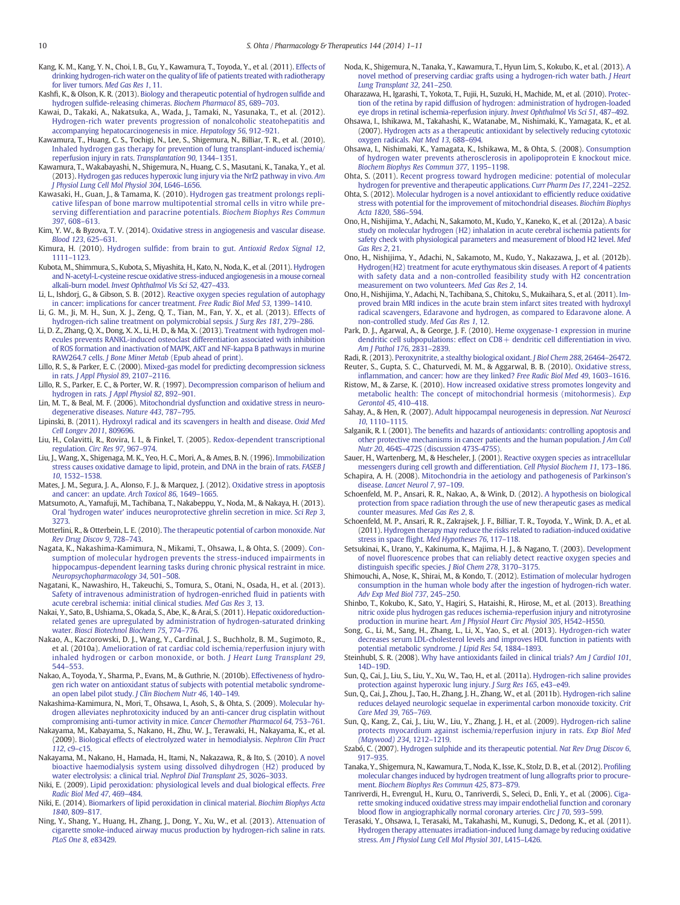- <span id="page-9-0"></span>Kang, K. M., Kang, Y. N., Choi, I. B., Gu, Y., Kawamura, T., Toyoda, Y., et al. (2011). [Effects of](http://refhub.elsevier.com/S0163-7258(14)00094-1/rf0305) [drinking hydrogen-rich water on the quality of life of patients treated with radiotherapy](http://refhub.elsevier.com/S0163-7258(14)00094-1/rf0305) [for liver tumors.](http://refhub.elsevier.com/S0163-7258(14)00094-1/rf0305) Med Gas Res 1, 11.
- Kashfi, K., & Olson, K. R. (2013). [Biology and therapeutic potential of hydrogen sul](http://refhub.elsevier.com/S0163-7258(14)00094-1/rf0310)fide and hydrogen sulfi[de-releasing chimeras.](http://refhub.elsevier.com/S0163-7258(14)00094-1/rf0310) Biochem Pharmacol 85, 689–703.
- Kawai, D., Takaki, A., Nakatsuka, A., Wada, J., Tamaki, N., Yasunaka, T., et al. (2012). [Hydrogen-rich water prevents progression of nonalcoholic steatohepatitis and](http://refhub.elsevier.com/S0163-7258(14)00094-1/rf0315) [accompanying hepatocarcinogenesis in mice.](http://refhub.elsevier.com/S0163-7258(14)00094-1/rf0315) Hepatology 56, 912–921.
- Kawamura, T., Huang, C. S., Tochigi, N., Lee, S., Shigemura, N., Billiar, T. R., et al. (2010). [Inhaled hydrogen gas therapy for prevention of lung transplant-induced ischemia/](http://refhub.elsevier.com/S0163-7258(14)00094-1/rf0320) [reperfusion injury in rats.](http://refhub.elsevier.com/S0163-7258(14)00094-1/rf0320) Transplantation 90, 1344–1351.
- Kawamura, T., Wakabayashi, N., Shigemura, N., Huang, C. S., Masutani, K., Tanaka, Y., et al. (2013). [Hydrogen gas reduces hyperoxic lung injury via the Nrf2 pathway in vivo.](http://refhub.elsevier.com/S0163-7258(14)00094-1/rf0325) Am [J Physiol Lung Cell Mol Physiol 304](http://refhub.elsevier.com/S0163-7258(14)00094-1/rf0325), L646–L656.
- Kawasaki, H., Guan, J., & Tamama, K. (2010). [Hydrogen gas treatment prolongs repli](http://refhub.elsevier.com/S0163-7258(14)00094-1/rf0330)[cative lifespan of bone marrow multipotential stromal cells in vitro while pre](http://refhub.elsevier.com/S0163-7258(14)00094-1/rf0330)[serving differentiation and paracrine potentials.](http://refhub.elsevier.com/S0163-7258(14)00094-1/rf0330) Biochem Biophys Res Commun 397[, 608](http://refhub.elsevier.com/S0163-7258(14)00094-1/rf0330)–613.
- Kim, Y. W., & Byzova, T. V. (2014). [Oxidative stress in angiogenesis and vascular disease.](http://refhub.elsevier.com/S0163-7258(14)00094-1/rf0335) [Blood 123](http://refhub.elsevier.com/S0163-7258(14)00094-1/rf0335), 625–631.
- Kimura, H. (2010). Hydrogen sulfide: from brain to gut. [Antioxid Redox Signal 12](http://refhub.elsevier.com/S0163-7258(14)00094-1/rf0340), 1111–[1123.](http://refhub.elsevier.com/S0163-7258(14)00094-1/rf0340)
- Kubota, M., Shimmura, S., Kubota, S., Miyashita, H., Kato, N., Noda, K., et al. (2011). [Hydrogen](http://refhub.elsevier.com/S0163-7258(14)00094-1/rf0345) [and N-acetyl-L-cysteine rescue oxidative stress-induced angiogenesis in a mouse corneal](http://refhub.elsevier.com/S0163-7258(14)00094-1/rf0345) alkali-burn model. [Invest Ophthalmol Vis Sci 52](http://refhub.elsevier.com/S0163-7258(14)00094-1/rf0345), 427–433.
- Li, L., Ishdorj, G., & Gibson, S. B. (2012). [Reactive oxygen species regulation of autophagy](http://refhub.elsevier.com/S0163-7258(14)00094-1/rf0355) [in cancer: implications for cancer treatment.](http://refhub.elsevier.com/S0163-7258(14)00094-1/rf0355) Free Radic Biol Med 53, 1399–1410.
- Li, G. M., Ji, M. H., Sun, X. J., Zeng, Q. T., Tian, M., Fan, Y. X., et al. (2013). [Effects of](http://refhub.elsevier.com/S0163-7258(14)00094-1/rf0350) [hydrogen-rich saline treatment on polymicrobial sepsis.](http://refhub.elsevier.com/S0163-7258(14)00094-1/rf0350) J Surg Res 181, 279–286.
- Li, D. Z., Zhang, Q. X., Dong, X. X., Li, H. D., & Ma, X. (2013). [Treatment with hydrogen mol](http://refhub.elsevier.com/S0163-7258(14)00094-1/rf0710)[ecules prevents RANKL-induced osteoclast differentiation associated with inhibition](http://refhub.elsevier.com/S0163-7258(14)00094-1/rf0710) [of ROS formation and inactivation of MAPK, AKT and NF-kappa B pathways in murine](http://refhub.elsevier.com/S0163-7258(14)00094-1/rf0710) RAW264.7 cells. J Bone Miner Metab [\(Epub ahead of print\).](http://refhub.elsevier.com/S0163-7258(14)00094-1/rf0710)
- Lillo, R. S., & Parker, E. C. (2000). [Mixed-gas model for predicting decompression sickness](http://refhub.elsevier.com/S0163-7258(14)00094-1/rf0360) in rats. [J Appl Physiol 89](http://refhub.elsevier.com/S0163-7258(14)00094-1/rf0360), 2107–2116.
- Lillo, R. S., Parker, E. C., & Porter, W. R. (1997). [Decompression comparison of helium and](http://refhub.elsevier.com/S0163-7258(14)00094-1/rf0365) [hydrogen in rats.](http://refhub.elsevier.com/S0163-7258(14)00094-1/rf0365) J Appl Physiol 82, 892–901.
- Lin, M. T., & Beal, M. F. (2006). [Mitochondrial dysfunction and oxidative stress in neuro](http://refhub.elsevier.com/S0163-7258(14)00094-1/rf0370)[degenerative diseases.](http://refhub.elsevier.com/S0163-7258(14)00094-1/rf0370) Nature 443, 787–795.
- Lipinski, B. (2011). [Hydroxyl radical and its scavengers in health and disease.](http://refhub.elsevier.com/S0163-7258(14)00094-1/rf0375) Oxid Med [Cell Longev 2011](http://refhub.elsevier.com/S0163-7258(14)00094-1/rf0375), 809696.
- Liu, H., Colavitti, R., Rovira, I. I., & Finkel, T. (2005). [Redox-dependent transcriptional](http://refhub.elsevier.com/S0163-7258(14)00094-1/rf0380) regulation. [Circ Res 97](http://refhub.elsevier.com/S0163-7258(14)00094-1/rf0380), 967–974.
- Liu, J., Wang, X., Shigenaga, M. K., Yeo, H. C., Mori, A., & Ames, B. N. (1996). [Immobilization](http://refhub.elsevier.com/S0163-7258(14)00094-1/rf0385) [stress causes oxidative damage to lipid, protein, and DNA in the brain of rats.](http://refhub.elsevier.com/S0163-7258(14)00094-1/rf0385) FASEB J 10[, 1532](http://refhub.elsevier.com/S0163-7258(14)00094-1/rf0385)–1538.
- Mates, J. M., Segura, J. A., Alonso, F. J., & Marquez, J. (2012). [Oxidative stress in apoptosis](http://refhub.elsevier.com/S0163-7258(14)00094-1/rf0390) [and cancer: an update.](http://refhub.elsevier.com/S0163-7258(14)00094-1/rf0390) Arch Toxicol 86, 1649–1665.
- Matsumoto, A., Yamafuji, M., Tachibana, T., Nakabeppu, Y., Noda, M., & Nakaya, H. (2013). [Oral 'hydrogen water' induces neuroprotective ghrelin secretion in mice.](http://refhub.elsevier.com/S0163-7258(14)00094-1/rf0395) Sci Rep 3, [3273.](http://refhub.elsevier.com/S0163-7258(14)00094-1/rf0395)
- Motterlini, R., & Otterbein, L. E. (2010). [The therapeutic potential of carbon monoxide.](http://refhub.elsevier.com/S0163-7258(14)00094-1/rf0400) Nat [Rev Drug Discov 9](http://refhub.elsevier.com/S0163-7258(14)00094-1/rf0400), 728–743.
- Nagata, K., Nakashima-Kamimura, N., Mikami, T., Ohsawa, I., & Ohta, S. (2009). [Con](http://refhub.elsevier.com/S0163-7258(14)00094-1/rf0405)[sumption of molecular hydrogen prevents the stress-induced impairments in](http://refhub.elsevier.com/S0163-7258(14)00094-1/rf0405) [hippocampus-dependent learning tasks during chronic physical restraint in mice.](http://refhub.elsevier.com/S0163-7258(14)00094-1/rf0405) [Neuropsychopharmacology 34](http://refhub.elsevier.com/S0163-7258(14)00094-1/rf0405), 501–508.
- Nagatani, K., Nawashiro, H., Takeuchi, S., Tomura, S., Otani, N., Osada, H., et al. (2013). [Safety of intravenous administration of hydrogen-enriched](http://refhub.elsevier.com/S0163-7258(14)00094-1/rf0410) fluid in patients with [acute cerebral ischemia: initial clinical studies.](http://refhub.elsevier.com/S0163-7258(14)00094-1/rf0410) Med Gas Res 3, 13.
- Nakai, Y., Sato, B., Ushiama, S., Okada, S., Abe, K., & Arai, S. (2011). [Hepatic oxidoreduction](http://refhub.elsevier.com/S0163-7258(14)00094-1/rf0415)[related genes are upregulated by administration of hydrogen-saturated drinking](http://refhub.elsevier.com/S0163-7258(14)00094-1/rf0415) water. [Biosci Biotechnol Biochem 75](http://refhub.elsevier.com/S0163-7258(14)00094-1/rf0415), 774–776.
- Nakao, A., Kaczorowski, D. J., Wang, Y., Cardinal, J. S., Buchholz, B. M., Sugimoto, R., et al. (2010a). [Amelioration of rat cardiac cold ischemia/reperfusion injury with](http://refhub.elsevier.com/S0163-7258(14)00094-1/rf0420) [inhaled hydrogen or carbon monoxide, or both.](http://refhub.elsevier.com/S0163-7258(14)00094-1/rf0420) J Heart Lung Transplant 29, 544–[553.](http://refhub.elsevier.com/S0163-7258(14)00094-1/rf0420)
- Nakao, A., Toyoda, Y., Sharma, P., Evans, M., & Guthrie, N. (2010b). [Effectiveness of hydro](http://refhub.elsevier.com/S0163-7258(14)00094-1/rf0425)[gen rich water on antioxidant status of subjects with potential metabolic syndrome](http://refhub.elsevier.com/S0163-7258(14)00094-1/rf0425)[an open label pilot study.](http://refhub.elsevier.com/S0163-7258(14)00094-1/rf0425) J Clin Biochem Nutr 46, 140–149.
- Nakashima-Kamimura, N., Mori, T., Ohsawa, I., Asoh, S., & Ohta, S. (2009). [Molecular hy](http://refhub.elsevier.com/S0163-7258(14)00094-1/rf9000)[drogen alleviates nephrotoxicity induced by an anti-cancer drug cisplatin without](http://refhub.elsevier.com/S0163-7258(14)00094-1/rf9000) [compromising anti-tumor activity in mice.](http://refhub.elsevier.com/S0163-7258(14)00094-1/rf9000) Cancer Chemother Pharmacol 64, 753–761.
- Nakayama, M., Kabayama, S., Nakano, H., Zhu, W. J., Terawaki, H., Nakayama, K., et al. (2009). [Biological effects of electrolyzed water in hemodialysis.](http://refhub.elsevier.com/S0163-7258(14)00094-1/rf0435) Nephron Clin Pract 112, c9–[c15.](http://refhub.elsevier.com/S0163-7258(14)00094-1/rf0435)
- Nakayama, M., Nakano, H., Hamada, H., Itami, N., Nakazawa, R., & Ito, S. (2010). [A novel](http://refhub.elsevier.com/S0163-7258(14)00094-1/rf0440) [bioactive haemodialysis system using dissolved dihydrogen \(H2\) produced by](http://refhub.elsevier.com/S0163-7258(14)00094-1/rf0440) [water electrolysis: a clinical trial.](http://refhub.elsevier.com/S0163-7258(14)00094-1/rf0440) Nephrol Dial Transplant 25, 3026–3033.
- Niki, E. (2009). [Lipid peroxidation: physiological levels and dual biological effects.](http://refhub.elsevier.com/S0163-7258(14)00094-1/rf0445) Free [Radic Biol Med 47](http://refhub.elsevier.com/S0163-7258(14)00094-1/rf0445), 469–484.
- Niki, E. (2014). [Biomarkers of lipid peroxidation in clinical material.](http://refhub.elsevier.com/S0163-7258(14)00094-1/rf0450) Biochim Biophys Acta 1840[, 809](http://refhub.elsevier.com/S0163-7258(14)00094-1/rf0450)–817.
- Ning, Y., Shang, Y., Huang, H., Zhang, J., Dong, Y., Xu, W., et al. (2013). [Attenuation of](http://refhub.elsevier.com/S0163-7258(14)00094-1/rf0455) [cigarette smoke-induced airway mucus production by hydrogen-rich saline in rats.](http://refhub.elsevier.com/S0163-7258(14)00094-1/rf0455) [PLoS One 8](http://refhub.elsevier.com/S0163-7258(14)00094-1/rf0455), e83429.
- Noda, K., Shigemura, N., Tanaka, Y., Kawamura, T., Hyun Lim, S., Kokubo, K., et al. (2013). [A](http://refhub.elsevier.com/S0163-7258(14)00094-1/rf0460) [novel method of preserving cardiac grafts using a hydrogen-rich water bath.](http://refhub.elsevier.com/S0163-7258(14)00094-1/rf0460) J Heart [Lung Transplant 32](http://refhub.elsevier.com/S0163-7258(14)00094-1/rf0460), 241–250.
- Oharazawa, H., Igarashi, T., Yokota, T., Fujii, H., Suzuki, H., Machide, M., et al. (2010). [Protec](http://refhub.elsevier.com/S0163-7258(14)00094-1/rf0465)[tion of the retina by rapid diffusion of hydrogen: administration of hydrogen-loaded](http://refhub.elsevier.com/S0163-7258(14)00094-1/rf0465) [eye drops in retinal ischemia-reperfusion injury.](http://refhub.elsevier.com/S0163-7258(14)00094-1/rf0465) Invest Ophthalmol Vis Sci 51, 487–492.
- Ohsawa, I., Ishikawa, M., Takahashi, K., Watanabe, M., Nishimaki, K., Yamagata, K., et al. (2007). [Hydrogen acts as a therapeutic antioxidant by selectively reducing cytotoxic](http://refhub.elsevier.com/S0163-7258(14)00094-1/rf0470) [oxygen radicals.](http://refhub.elsevier.com/S0163-7258(14)00094-1/rf0470) Nat Med 13, 688–694.
- Ohsawa, I., Nishimaki, K., Yamagata, K., Ishikawa, M., & Ohta, S. (2008). [Consumption](http://refhub.elsevier.com/S0163-7258(14)00094-1/rf0475) [of hydrogen water prevents atherosclerosis in apolipoprotein E knockout mice.](http://refhub.elsevier.com/S0163-7258(14)00094-1/rf0475) [Biochem Biophys Res Commun 377](http://refhub.elsevier.com/S0163-7258(14)00094-1/rf0475), 1195–1198.

Ohta, S. (2011). [Recent progress toward hydrogen medicine: potential of molecular](http://refhub.elsevier.com/S0163-7258(14)00094-1/rf0480) [hydrogen for preventive and therapeutic applications.](http://refhub.elsevier.com/S0163-7258(14)00094-1/rf0480) Curr Pharm Des 17, 2241–2252.

- Ohta, S. (2012). [Molecular hydrogen is a novel antioxidant to ef](http://refhub.elsevier.com/S0163-7258(14)00094-1/rf0485)ficiently reduce oxidative [stress with potential for the improvement of mitochondrial diseases.](http://refhub.elsevier.com/S0163-7258(14)00094-1/rf0485) Biochim Biophys [Acta 1820](http://refhub.elsevier.com/S0163-7258(14)00094-1/rf0485), 586–594.
- Ono, H., Nishijima, Y., Adachi, N., Sakamoto, M., Kudo, Y., Kaneko, K., et al. (2012a). [A basic](http://refhub.elsevier.com/S0163-7258(14)00094-1/rf0490) [study on molecular hydrogen \(H2\) inhalation in acute cerebral ischemia patients for](http://refhub.elsevier.com/S0163-7258(14)00094-1/rf0490) [safety check with physiological parameters and measurement of blood H2 level.](http://refhub.elsevier.com/S0163-7258(14)00094-1/rf0490) Med [Gas Res 2](http://refhub.elsevier.com/S0163-7258(14)00094-1/rf0490), 21.
- Ono, H., Nishijima, Y., Adachi, N., Sakamoto, M., Kudo, Y., Nakazawa, J., et al. (2012b). [Hydrogen\(H2\) treatment for acute erythymatous skin diseases. A report of 4 patients](http://refhub.elsevier.com/S0163-7258(14)00094-1/rf0715) [with safety data and a non-controlled feasibility study with H2 concentration](http://refhub.elsevier.com/S0163-7258(14)00094-1/rf0715) [measurement on two volunteers.](http://refhub.elsevier.com/S0163-7258(14)00094-1/rf0715) Med Gas Res 2, 14.
- Ono, H., Nishijima, Y., Adachi, N., Tachibana, S., Chitoku, S., Mukaihara, S., et al. (2011). [Im](http://refhub.elsevier.com/S0163-7258(14)00094-1/rf0725)[proved brain MRI indices in the acute brain stem infarct sites treated with hydroxyl](http://refhub.elsevier.com/S0163-7258(14)00094-1/rf0725) [radical scavengers, Edaravone and hydrogen, as compared to Edaravone alone. A](http://refhub.elsevier.com/S0163-7258(14)00094-1/rf0725) [non-controlled study.](http://refhub.elsevier.com/S0163-7258(14)00094-1/rf0725) Med Gas Res 1, 12.
- Park, D. J., Agarwal, A., & George, J. F. (2010). [Heme oxygenase-1 expression in murine](http://refhub.elsevier.com/S0163-7258(14)00094-1/rf0495) dendritic cell subpopulations: effect on CD8 + dendritic cell differentiation in vivo. [Am J Pathol 176](http://refhub.elsevier.com/S0163-7258(14)00094-1/rf0495), 2831–2839.
- Radi, R. (2013). [Peroxynitrite, a stealthy biological oxidant.](http://refhub.elsevier.com/S0163-7258(14)00094-1/rf0500) J Biol Chem 288, 26464–26472. Reuter, S., Gupta, S. C., Chaturvedi, M. M., & Aggarwal, B. B. (2010). [Oxidative stress,](http://refhub.elsevier.com/S0163-7258(14)00094-1/rf0505)
- infl[ammation, and cancer: how are they linked?](http://refhub.elsevier.com/S0163-7258(14)00094-1/rf0505) Free Radic Biol Med 49, 1603–1616. Ristow, M., & Zarse, K. (2010). [How increased oxidative stress promotes longevity and](http://refhub.elsevier.com/S0163-7258(14)00094-1/rf0510)
- [metabolic health: The concept of mitochondrial hormesis \(mitohormesis\).](http://refhub.elsevier.com/S0163-7258(14)00094-1/rf0510) Exp [Gerontol 45](http://refhub.elsevier.com/S0163-7258(14)00094-1/rf0510), 410–418.
- Sahay, A., & Hen, R. (2007). [Adult hippocampal neurogenesis in depression.](http://refhub.elsevier.com/S0163-7258(14)00094-1/rf0515) Nat Neurosci 10[, 1110](http://refhub.elsevier.com/S0163-7258(14)00094-1/rf0515)–1115.
- Salganik, R. I. (2001). The benefi[ts and hazards of antioxidants: controlling apoptosis and](http://refhub.elsevier.com/S0163-7258(14)00094-1/rf0720) [other protective mechanisms in cancer patients and the human population.](http://refhub.elsevier.com/S0163-7258(14)00094-1/rf0720) J Am Coll Nutr 20, 464S–[472S \(discussion 473S-475S\).](http://refhub.elsevier.com/S0163-7258(14)00094-1/rf0720)
- Sauer, H., Wartenberg, M., & Hescheler, J. (2001). [Reactive oxygen species as intracellular](http://refhub.elsevier.com/S0163-7258(14)00094-1/rf0520) [messengers during cell growth and differentiation.](http://refhub.elsevier.com/S0163-7258(14)00094-1/rf0520) Cell Physiol Biochem 11, 173–186.
- Schapira, A. H. (2008). [Mitochondria in the aetiology and pathogenesis of Parkinson's](http://refhub.elsevier.com/S0163-7258(14)00094-1/rf0525) disease. [Lancet Neurol 7](http://refhub.elsevier.com/S0163-7258(14)00094-1/rf0525), 97–109.
- Schoenfeld, M. P., Ansari, R. R., Nakao, A., & Wink, D. (2012). [A hypothesis on biological](http://refhub.elsevier.com/S0163-7258(14)00094-1/rf0530) [protection from space radiation through the use of new therapeutic gases as medical](http://refhub.elsevier.com/S0163-7258(14)00094-1/rf0530) [counter measures.](http://refhub.elsevier.com/S0163-7258(14)00094-1/rf0530) Med Gas Res 2, 8.
- Schoenfeld, M. P., Ansari, R. R., Zakrajsek, J. F., Billiar, T. R., Toyoda, Y., Wink, D. A., et al. (2011). [Hydrogen therapy may reduce the risks related to radiation-induced oxidative](http://refhub.elsevier.com/S0163-7258(14)00094-1/rf0535) stress in space flight. [Med Hypotheses 76](http://refhub.elsevier.com/S0163-7258(14)00094-1/rf0535), 117–118.
- Setsukinai, K., Urano, Y., Kakinuma, K., Majima, H. J., & Nagano, T. (2003). [Development](http://refhub.elsevier.com/S0163-7258(14)00094-1/rf0540) of novel fl[uorescence probes that can reliably detect reactive oxygen species and](http://refhub.elsevier.com/S0163-7258(14)00094-1/rf0540) [distinguish speci](http://refhub.elsevier.com/S0163-7258(14)00094-1/rf0540)fic species. J Biol Chem 278, 3170–3175.
- Shimouchi, A., Nose, K., Shirai, M., & Kondo, T. (2012). [Estimation of molecular hydrogen](http://refhub.elsevier.com/S0163-7258(14)00094-1/rf0545) [consumption in the human whole body after the ingestion of hydrogen-rich water.](http://refhub.elsevier.com/S0163-7258(14)00094-1/rf0545) [Adv Exp Med Biol 737](http://refhub.elsevier.com/S0163-7258(14)00094-1/rf0545), 245–250.
- Shinbo, T., Kokubo, K., Sato, Y., Hagiri, S., Hataishi, R., Hirose, M., et al. (2013). [Breathing](http://refhub.elsevier.com/S0163-7258(14)00094-1/rf0550) [nitric oxide plus hydrogen gas reduces ischemia-reperfusion injury and nitrotyrosine](http://refhub.elsevier.com/S0163-7258(14)00094-1/rf0550) production in murine heart. Am J [Physiol Heart Circ Physiol 305](http://refhub.elsevier.com/S0163-7258(14)00094-1/rf0550), H542–H550.
- Song, G., Li, M., Sang, H., Zhang, L., Li, X., Yao, S., et al. (2013). [Hydrogen-rich water](http://refhub.elsevier.com/S0163-7258(14)00094-1/rf0555) [decreases serum LDL-cholesterol levels and improves HDL function in patients with](http://refhub.elsevier.com/S0163-7258(14)00094-1/rf0555) [potential metabolic syndrome.](http://refhub.elsevier.com/S0163-7258(14)00094-1/rf0555) J Lipid Res 54, 1884–1893.
- Steinhubl, S. R. (2008). [Why have antioxidants failed in clinical trials?](http://refhub.elsevier.com/S0163-7258(14)00094-1/rf0560) Am J Cardiol 101, 14D–[19D.](http://refhub.elsevier.com/S0163-7258(14)00094-1/rf0560)
- Sun, Q., Cai, J., Liu, S., Liu, Y., Xu, W., Tao, H., et al. (2011a). [Hydrogen-rich saline provides](http://refhub.elsevier.com/S0163-7258(14)00094-1/rf0565) [protection against hyperoxic lung injury.](http://refhub.elsevier.com/S0163-7258(14)00094-1/rf0565) J Surg Res 165, e43–e49.
- Sun, Q., Cai, J., Zhou, J., Tao, H., Zhang, J. H., Zhang, W., et al. (2011b). [Hydrogen-rich saline](http://refhub.elsevier.com/S0163-7258(14)00094-1/rf0570) [reduces delayed neurologic sequelae in experimental carbon monoxide toxicity.](http://refhub.elsevier.com/S0163-7258(14)00094-1/rf0570) Crit [Care Med 39](http://refhub.elsevier.com/S0163-7258(14)00094-1/rf0570), 765–769.
- Sun, Q., Kang, Z., Cai, J., Liu, W., Liu, Y., Zhang, J. H., et al. (2009). [Hydrogen-rich saline](http://refhub.elsevier.com/S0163-7258(14)00094-1/rf0575) [protects myocardium against ischemia/reperfusion injury in rats.](http://refhub.elsevier.com/S0163-7258(14)00094-1/rf0575) Exp Biol Med [\(Maywood\) 234](http://refhub.elsevier.com/S0163-7258(14)00094-1/rf0575), 1212–1219.
- Szabó, C. (2007). [Hydrogen sulphide and its therapeutic potential.](http://refhub.elsevier.com/S0163-7258(14)00094-1/rf0580) Nat Rev Drug Discov 6, 917–[935.](http://refhub.elsevier.com/S0163-7258(14)00094-1/rf0580)
- Tanaka, Y., Shigemura, N., Kawamura, T., Noda, K., Isse, K., Stolz, D. B., et al. (2012). Profi[ling](http://refhub.elsevier.com/S0163-7258(14)00094-1/rf0585) [molecular changes induced by hydrogen treatment of lung allografts prior to procure](http://refhub.elsevier.com/S0163-7258(14)00094-1/rf0585)ment. [Biochem Biophys Res Commun 425](http://refhub.elsevier.com/S0163-7258(14)00094-1/rf0585), 873–879.
- Tanriverdi, H., Evrengul, H., Kuru, O., Tanriverdi, S., Seleci, D., Enli, Y., et al. (2006). [Ciga](http://refhub.elsevier.com/S0163-7258(14)00094-1/rf0590)[rette smoking induced oxidative stress may impair endothelial function and coronary](http://refhub.elsevier.com/S0163-7258(14)00094-1/rf0590) blood fl[ow in angiographically normal coronary arteries.](http://refhub.elsevier.com/S0163-7258(14)00094-1/rf0590) Circ J 70, 593–599.
- Terasaki, Y., Ohsawa, I., Terasaki, M., Takahashi, M., Kunugi, S., Dedong, K., et al. (2011). [Hydrogen therapy attenuates irradiation-induced lung damage by reducing oxidative](http://refhub.elsevier.com/S0163-7258(14)00094-1/rf0595) stress. [Am J Physiol Lung Cell Mol Physiol 301](http://refhub.elsevier.com/S0163-7258(14)00094-1/rf0595), L415–L426.